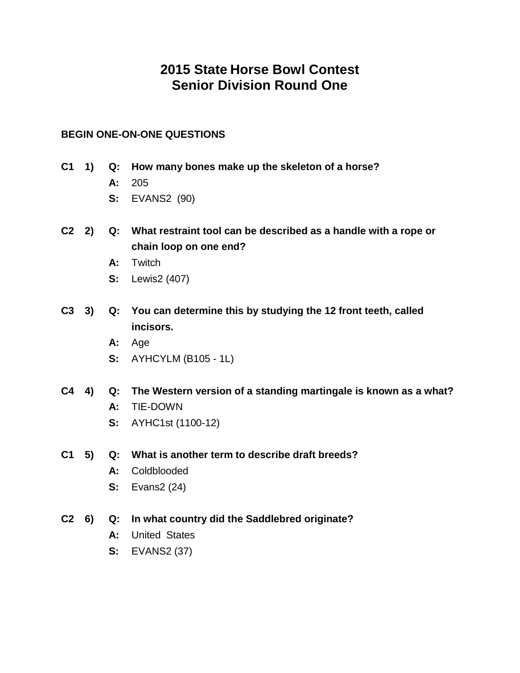# **2015 State Horse Bowl Contest Senior Division Round One**

## **BEGIN ONE-ON-ONE QUESTIONS**

- **C1 1) Q: How many bones make up the skeleton of a horse?**
	- **A:** 205
	- **S:** EVANS2 (90)
- **C2 2) Q: What restraint tool can be described as a handle with a rope or chain loop on one end?**
	- **A:** Twitch
	- **S:** Lewis2 (407)
- **C3 3) Q: You can determine this by studying the 12 front teeth, called incisors.**
	- **A:** Age
	- **S:** AYHCYLM (B105 1L)
- **C4 4) Q: The Western version of a standing martingale is known as a what?**
	- **A:** TIE-DOWN
	- **S:** AYHC1st (1100-12)
- **C1 5) Q: What is another term to describe draft breeds?**
	- **A:** Coldblooded
	- **S:** Evans2 (24)
- **C2 6) Q: In what country did the Saddlebred originate?**
	- **A:** United States
	- **S:** EVANS2 (37)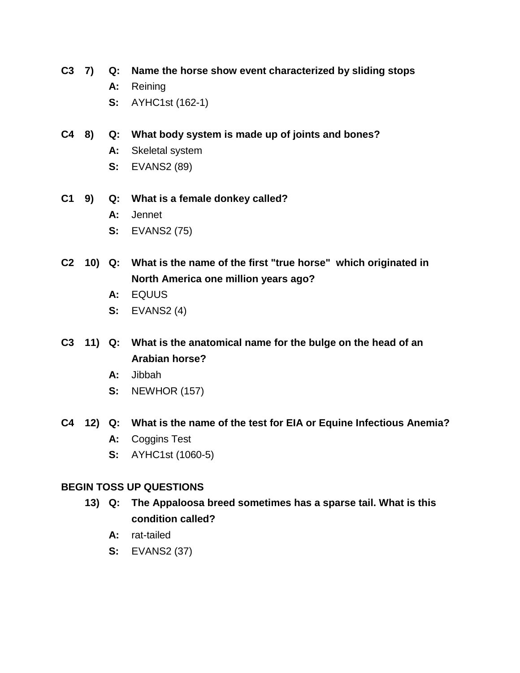## **C3 7) Q: Name the horse show event characterized by sliding stops**

- **A:** Reining
- **S:** AYHC1st (162-1)
- **C4 8) Q: What body system is made up of joints and bones?**
	- **A:** Skeletal system
	- **S:** EVANS2 (89)
- **C1 9) Q: What is a female donkey called?**
	- **A:** Jennet
	- **S:** EVANS2 (75)
- **C2 10) Q: What is the name of the first "true horse" which originated in North America one million years ago?**
	- **A:** EQUUS
	- **S:** EVANS2 (4)
- **C3 11) Q: What is the anatomical name for the bulge on the head of an Arabian horse?**
	- **A:** Jibbah
	- **S:** NEWHOR (157)
- **C4 12) Q: What is the name of the test for EIA or Equine Infectious Anemia? A:** Coggins Test
	- **S:** AYHC1st (1060-5)

# **BEGIN TOSS UP QUESTIONS**

- **13) Q: The Appaloosa breed sometimes has a sparse tail. What is this condition called?**
	- **A:** rat-tailed
	- **S:** EVANS2 (37)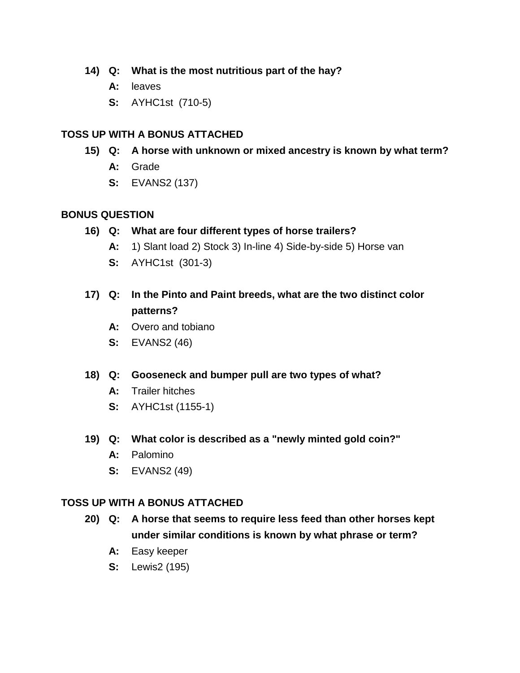- **14) Q: What is the most nutritious part of the hay?**
	- **A:** leaves
	- **S:** AYHC1st (710-5)

- **15) Q: A horse with unknown or mixed ancestry is known by what term?**
	- **A:** Grade
	- **S:** EVANS2 (137)

### **BONUS QUESTION**

- **16) Q: What are four different types of horse trailers?**
	- **A:** 1) Slant load 2) Stock 3) In-line 4) Side-by-side 5) Horse van
	- **S:** AYHC1st (301-3)
- **17) Q: In the Pinto and Paint breeds, what are the two distinct color patterns?**
	- **A:** Overo and tobiano
	- **S:** EVANS2 (46)
- **18) Q: Gooseneck and bumper pull are two types of what?**
	- **A:** Trailer hitches
	- **S:** AYHC1st (1155-1)
- **19) Q: What color is described as a "newly minted gold coin?"**
	- **A:** Palomino
	- **S:** EVANS2 (49)

### **TOSS UP WITH A BONUS ATTACHED**

- **20) Q: A horse that seems to require less feed than other horses kept under similar conditions is known by what phrase or term?**
	- **A:** Easy keeper
	- **S:** Lewis2 (195)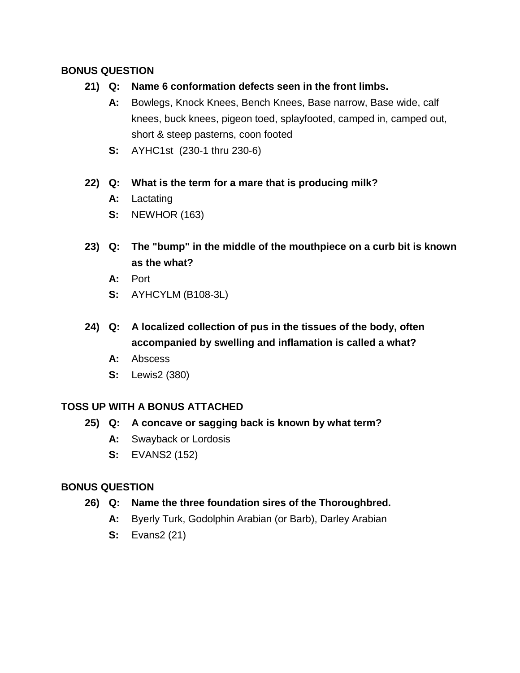# **BONUS QUESTION**

- **21) Q: Name 6 conformation defects seen in the front limbs.**
	- **A:** Bowlegs, Knock Knees, Bench Knees, Base narrow, Base wide, calf knees, buck knees, pigeon toed, splayfooted, camped in, camped out, short & steep pasterns, coon footed
	- **S:** AYHC1st (230-1 thru 230-6)

## **22) Q: What is the term for a mare that is producing milk?**

- **A:** Lactating
- **S:** NEWHOR (163)
- **23) Q: The "bump" in the middle of the mouthpiece on a curb bit is known as the what?**
	- **A:** Port
	- **S:** AYHCYLM (B108-3L)
- **24) Q: A localized collection of pus in the tissues of the body, often accompanied by swelling and inflamation is called a what?**
	- **A:** Abscess
	- **S:** Lewis2 (380)

# **TOSS UP WITH A BONUS ATTACHED**

- **25) Q: A concave or sagging back is known by what term?**
	- **A:** Swayback or Lordosis
	- **S:** EVANS2 (152)

- **26) Q: Name the three foundation sires of the Thoroughbred.**
	- **A:** Byerly Turk, Godolphin Arabian (or Barb), Darley Arabian
	- **S:** Evans2 (21)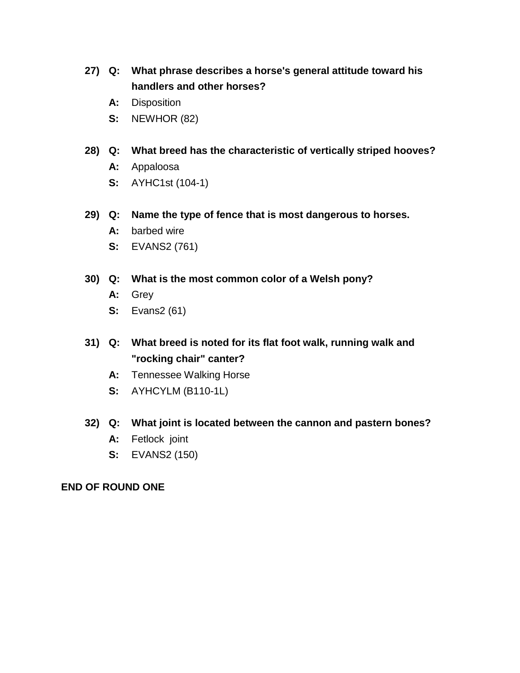- **27) Q: What phrase describes a horse's general attitude toward his handlers and other horses?**
	- **A:** Disposition
	- **S:** NEWHOR (82)
- **28) Q: What breed has the characteristic of vertically striped hooves?**
	- **A:** Appaloosa
	- **S:** AYHC1st (104-1)
- **29) Q: Name the type of fence that is most dangerous to horses.**
	- **A:** barbed wire
	- **S:** EVANS2 (761)
- **30) Q: What is the most common color of a Welsh pony?**
	- **A:** Grey
	- **S:** Evans2 (61)
- **31) Q: What breed is noted for its flat foot walk, running walk and "rocking chair" canter?**
	- **A:** Tennessee Walking Horse
	- **S:** AYHCYLM (B110-1L)

#### **32) Q: What joint is located between the cannon and pastern bones?**

- **A:** Fetlock joint
- **S:** EVANS2 (150)

#### **END OF ROUND ONE**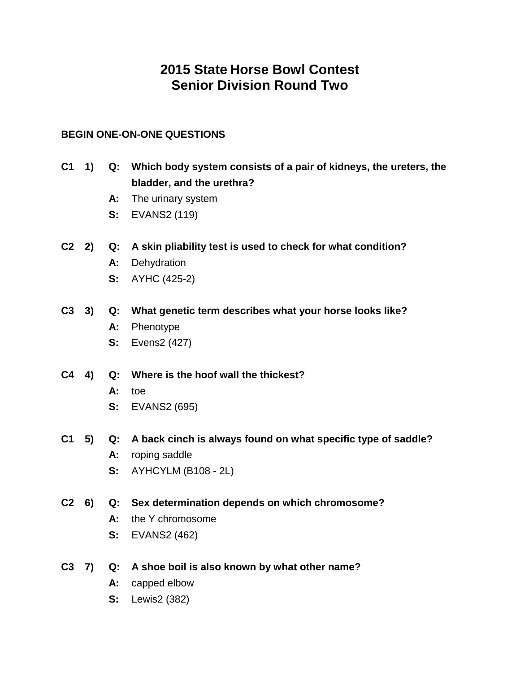# **2015 State Horse Bowl Contest Senior Division Round Two**

## **BEGIN ONE-ON-ONE QUESTIONS**

- **C1 1) Q: Which body system consists of a pair of kidneys, the ureters, the bladder, and the urethra?**
	- **A:** The urinary system
	- **S:** EVANS2 (119)
- **C2 2) Q: A skin pliability test is used to check for what condition?**
	- **A:** Dehydration
	- **S:** AYHC (425-2)
- **C3 3) Q: What genetic term describes what your horse looks like?**
	- **A:** Phenotype
	- **S:** Evens2 (427)
- **C4 4) Q: Where is the hoof wall the thickest?**
	- **A:** toe
	- **S:** EVANS2 (695)
- **C1 5) Q: A back cinch is always found on what specific type of saddle?**
	- **A:** roping saddle
	- **S:** AYHCYLM (B108 2L)
- **C2 6) Q: Sex determination depends on which chromosome?**
	- **A:** the Y chromosome
	- **S:** EVANS2 (462)
- **C3 7) Q: A shoe boil is also known by what other name?**
	- **A:** capped elbow
	- **S:** Lewis2 (382)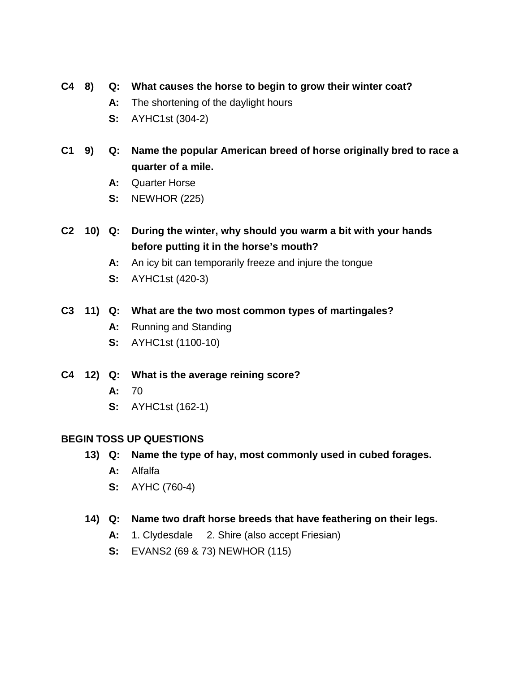# **C4 8) Q: What causes the horse to begin to grow their winter coat?**

- **A:** The shortening of the daylight hours
- **S:** AYHC1st (304-2)
- **C1 9) Q: Name the popular American breed of horse originally bred to race a quarter of a mile.**
	- **A:** Quarter Horse
	- **S:** NEWHOR (225)
- **C2 10) Q: During the winter, why should you warm a bit with your hands before putting it in the horse's mouth?**
	- **A:** An icy bit can temporarily freeze and injure the tongue
	- **S:** AYHC1st (420-3)

# **C3 11) Q: What are the two most common types of martingales?**

- **A:** Running and Standing
- **S:** AYHC1st (1100-10)

# **C4 12) Q: What is the average reining score?**

- **A:** 70
- **S:** AYHC1st (162-1)

# **BEGIN TOSS UP QUESTIONS**

# **13) Q: Name the type of hay, most commonly used in cubed forages.**

- **A:** Alfalfa
- **S:** AYHC (760-4)

### **14) Q: Name two draft horse breeds that have feathering on their legs.**

- **A:** 1. Clydesdale 2. Shire (also accept Friesian)
- **S:** EVANS2 (69 & 73) NEWHOR (115)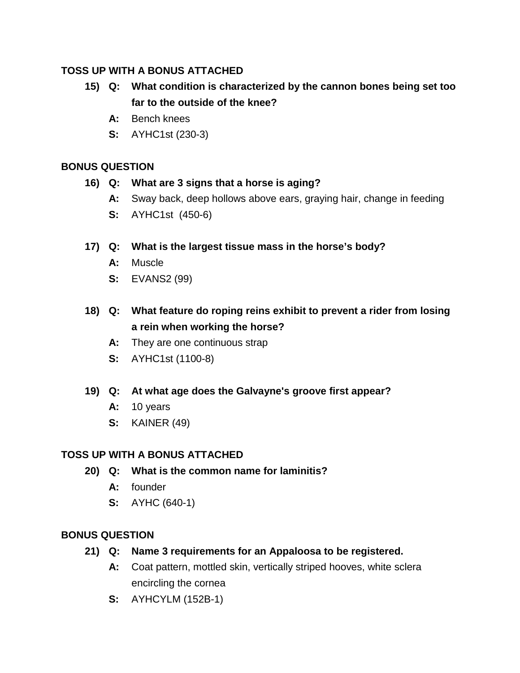- **15) Q: What condition is characterized by the cannon bones being set too far to the outside of the knee?**
	- **A:** Bench knees
	- **S:** AYHC1st (230-3)

# **BONUS QUESTION**

- **16) Q: What are 3 signs that a horse is aging?**
	- **A:** Sway back, deep hollows above ears, graying hair, change in feeding
	- **S:** AYHC1st (450-6)

# **17) Q: What is the largest tissue mass in the horse's body?**

- **A:** Muscle
- **S:** EVANS2 (99)
- **18) Q: What feature do roping reins exhibit to prevent a rider from losing a rein when working the horse?**
	- **A:** They are one continuous strap
	- **S:** AYHC1st (1100-8)
- **19) Q: At what age does the Galvayne's groove first appear?**
	- **A:** 10 years
	- **S:** KAINER (49)

# **TOSS UP WITH A BONUS ATTACHED**

- **20) Q: What is the common name for laminitis?**
	- **A:** founder
	- **S:** AYHC (640-1)

- **21) Q: Name 3 requirements for an Appaloosa to be registered.**
	- **A:** Coat pattern, mottled skin, vertically striped hooves, white sclera encircling the cornea
	- **S:** AYHCYLM (152B-1)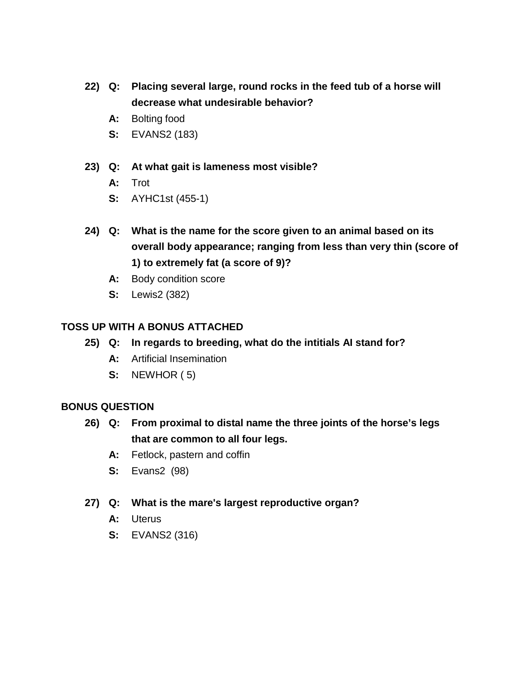- **22) Q: Placing several large, round rocks in the feed tub of a horse will decrease what undesirable behavior?**
	- **A:** Bolting food
	- **S:** EVANS2 (183)
- **23) Q: At what gait is lameness most visible?**
	- **A:** Trot
	- **S:** AYHC1st (455-1)
- **24) Q: What is the name for the score given to an animal based on its overall body appearance; ranging from less than very thin (score of 1) to extremely fat (a score of 9)?**
	- **A:** Body condition score
	- **S:** Lewis2 (382)

- **25) Q: In regards to breeding, what do the intitials AI stand for?**
	- **A:** Artificial Insemination
	- **S:** NEWHOR ( 5)

- **26) Q: From proximal to distal name the three joints of the horse's legs that are common to all four legs.**
	- **A:** Fetlock, pastern and coffin
	- **S:** Evans2 (98)
- **27) Q: What is the mare's largest reproductive organ?**
	- **A:** Uterus
	- **S:** EVANS2 (316)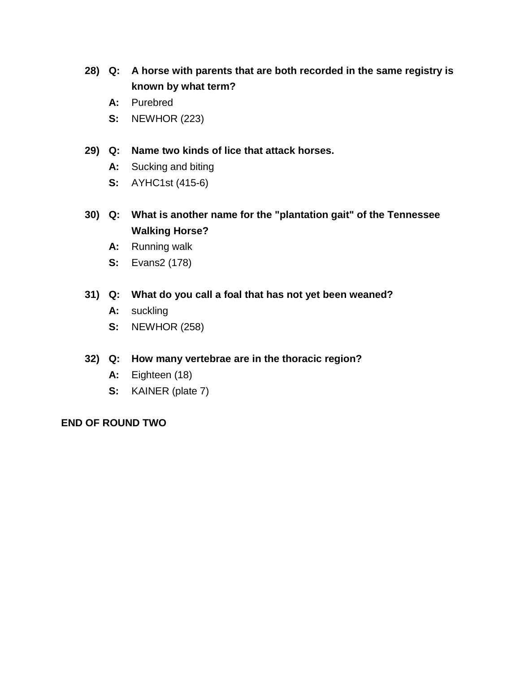- **28) Q: A horse with parents that are both recorded in the same registry is known by what term?**
	- **A:** Purebred
	- **S:** NEWHOR (223)
- **29) Q: Name two kinds of lice that attack horses.**
	- **A:** Sucking and biting
	- **S:** AYHC1st (415-6)
- **30) Q: What is another name for the "plantation gait" of the Tennessee Walking Horse?**
	- **A:** Running walk
	- **S:** Evans2 (178)

# **31) Q: What do you call a foal that has not yet been weaned?**

- **A:** suckling
- **S:** NEWHOR (258)

## **32) Q: How many vertebrae are in the thoracic region?**

- **A:** Eighteen (18)
- **S:** KAINER (plate 7)

### **END OF ROUND TWO**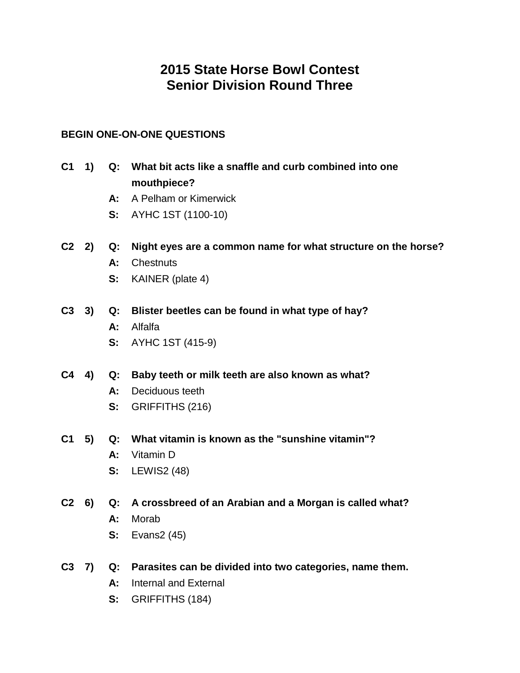# **2015 State Horse Bowl Contest Senior Division Round Three**

# **BEGIN ONE-ON-ONE QUESTIONS**

- **C1 1) Q: What bit acts like a snaffle and curb combined into one mouthpiece?**
	- **A:** A Pelham or Kimerwick
	- **S:** AYHC 1ST (1100-10)
- **C2 2) Q: Night eyes are a common name for what structure on the horse?**
	- **A:** Chestnuts
	- **S:** KAINER (plate 4)
- **C3 3) Q: Blister beetles can be found in what type of hay?**
	- **A:** Alfalfa
	- **S:** AYHC 1ST (415-9)
- **C4 4) Q: Baby teeth or milk teeth are also known as what?**
	- **A:** Deciduous teeth
	- **S:** GRIFFITHS (216)
- **C1 5) Q: What vitamin is known as the "sunshine vitamin"?**
	- **A:** Vitamin D
	- **S:** LEWIS2 (48)
- **C2 6) Q: A crossbreed of an Arabian and a Morgan is called what?**
	- **A:** Morab
	- **S:** Evans2 (45)
- **C3 7) Q: Parasites can be divided into two categories, name them.**
	- **A:** Internal and External
	- **S:** GRIFFITHS (184)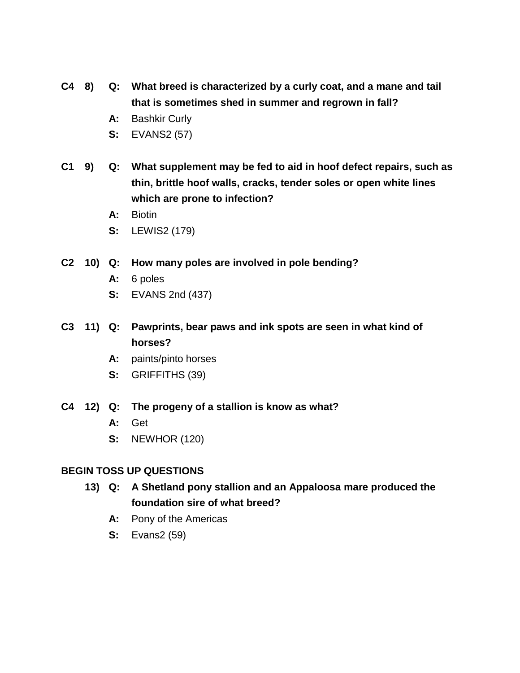- **C4 8) Q: What breed is characterized by a curly coat, and a mane and tail that is sometimes shed in summer and regrown in fall?**
	- **A:** Bashkir Curly
	- **S:** EVANS2 (57)
- **C1 9) Q: What supplement may be fed to aid in hoof defect repairs, such as thin, brittle hoof walls, cracks, tender soles or open white lines which are prone to infection?**
	- **A:** Biotin
	- **S:** LEWIS2 (179)
- **C2 10) Q: How many poles are involved in pole bending?**
	- **A:** 6 poles
	- **S:** EVANS 2nd (437)
- **C3 11) Q: Pawprints, bear paws and ink spots are seen in what kind of horses?**
	- **A:** paints/pinto horses
	- **S:** GRIFFITHS (39)
- **C4 12) Q: The progeny of a stallion is know as what?**
	- **A:** Get
	- **S:** NEWHOR (120)

### **BEGIN TOSS UP QUESTIONS**

- **13) Q: A Shetland pony stallion and an Appaloosa mare produced the foundation sire of what breed?**
	- **A:** Pony of the Americas
	- **S:** Evans2 (59)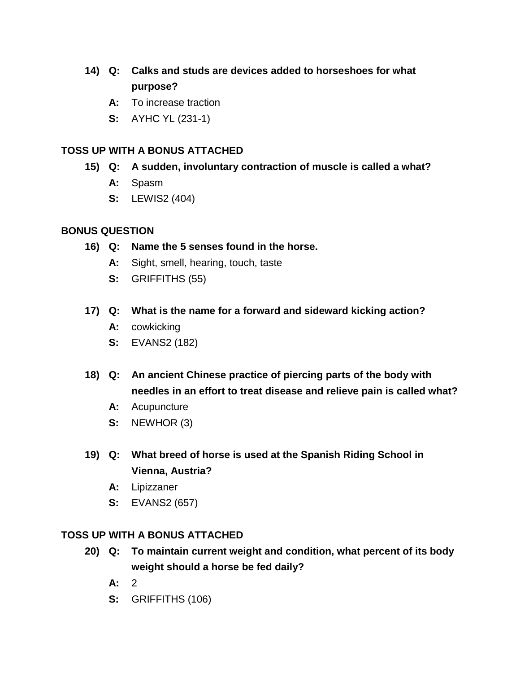- **14) Q: Calks and studs are devices added to horseshoes for what purpose?**
	- **A:** To increase traction
	- **S:** AYHC YL (231-1)

- **15) Q: A sudden, involuntary contraction of muscle is called a what?**
	- **A:** Spasm
	- **S:** LEWIS2 (404)

### **BONUS QUESTION**

- **16) Q: Name the 5 senses found in the horse.**
	- **A:** Sight, smell, hearing, touch, taste
	- **S:** GRIFFITHS (55)
- **17) Q: What is the name for a forward and sideward kicking action?**
	- **A:** cowkicking
	- **S:** EVANS2 (182)
- **18) Q: An ancient Chinese practice of piercing parts of the body with needles in an effort to treat disease and relieve pain is called what?**
	- **A:** Acupuncture
	- **S:** NEWHOR (3)
- **19) Q: What breed of horse is used at the Spanish Riding School in Vienna, Austria?**
	- **A:** Lipizzaner
	- **S:** EVANS2 (657)

### **TOSS UP WITH A BONUS ATTACHED**

- **20) Q: To maintain current weight and condition, what percent of its body weight should a horse be fed daily?**
	- **A:** 2
	- **S:** GRIFFITHS (106)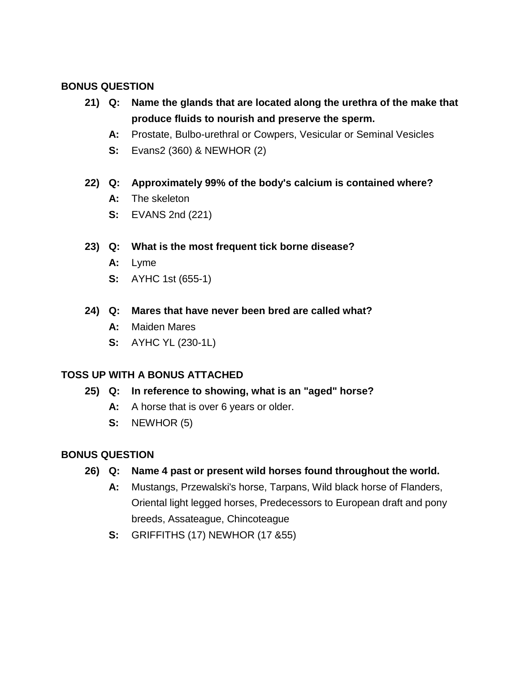# **BONUS QUESTION**

- **21) Q: Name the glands that are located along the urethra of the make that produce fluids to nourish and preserve the sperm.**
	- **A:** Prostate, Bulbo-urethral or Cowpers, Vesicular or Seminal Vesicles
	- **S:** Evans2 (360) & NEWHOR (2)

# **22) Q: Approximately 99% of the body's calcium is contained where?**

- **A:** The skeleton
- **S:** EVANS 2nd (221)

# **23) Q: What is the most frequent tick borne disease?**

- **A:** Lyme
- **S:** AYHC 1st (655-1)

## **24) Q: Mares that have never been bred are called what?**

- **A:** Maiden Mares
- **S:** AYHC YL (230-1L)

# **TOSS UP WITH A BONUS ATTACHED**

- **25) Q: In reference to showing, what is an "aged" horse?**
	- **A:** A horse that is over 6 years or older.
	- **S:** NEWHOR (5)

# **BONUS QUESTION**

# **26) Q: Name 4 past or present wild horses found throughout the world.**

- **A:** Mustangs, Przewalski's horse, Tarpans, Wild black horse of Flanders, Oriental light legged horses, Predecessors to European draft and pony breeds, Assateague, Chincoteague
- **S:** GRIFFITHS (17) NEWHOR (17 &55)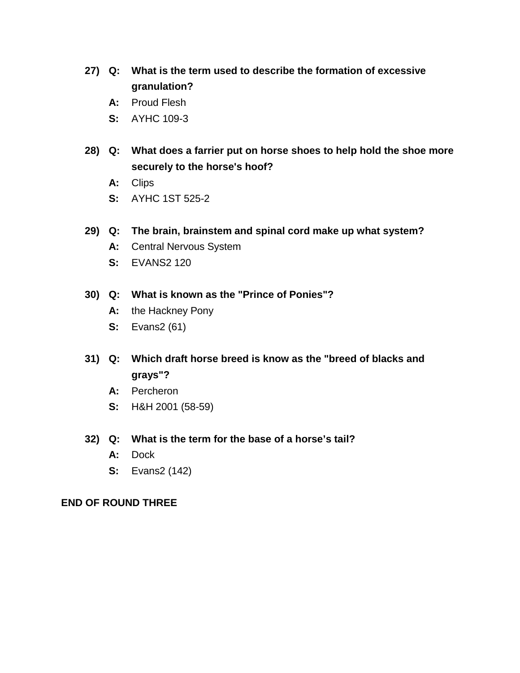- **27) Q: What is the term used to describe the formation of excessive granulation?**
	- **A:** Proud Flesh
	- **S:** AYHC 109-3
- **28) Q: What does a farrier put on horse shoes to help hold the shoe more securely to the horse's hoof?**
	- **A:** Clips
	- **S:** AYHC 1ST 525-2
- **29) Q: The brain, brainstem and spinal cord make up what system?**
	- **A:** Central Nervous System
	- **S:** EVANS2 120

## **30) Q: What is known as the "Prince of Ponies"?**

- **A:** the Hackney Pony
- **S:** Evans2 (61)
- **31) Q: Which draft horse breed is know as the "breed of blacks and grays"?**
	- **A:** Percheron
	- **S:** H&H 2001 (58-59)
- **32) Q: What is the term for the base of a horse's tail?**
	- **A:** Dock
	- **S:** Evans2 (142)

### **END OF ROUND THREE**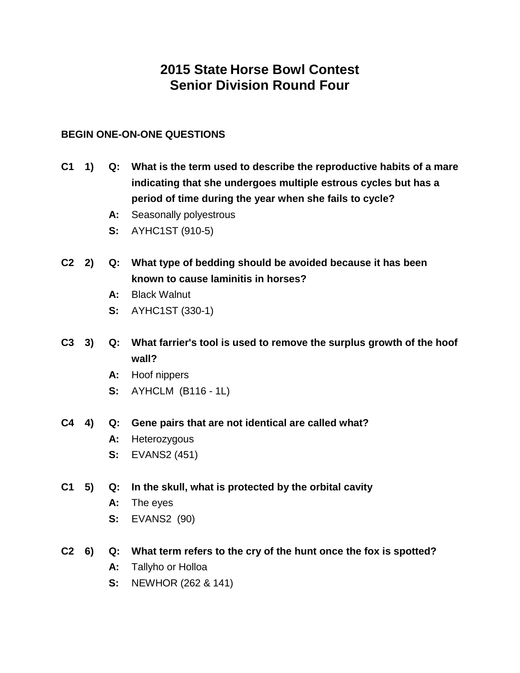# **2015 State Horse Bowl Contest Senior Division Round Four**

## **BEGIN ONE-ON-ONE QUESTIONS**

- **C1 1) Q: What is the term used to describe the reproductive habits of a mare indicating that she undergoes multiple estrous cycles but has a period of time during the year when she fails to cycle?**
	- **A:** Seasonally polyestrous
	- **S:** AYHC1ST (910-5)
- **C2 2) Q: What type of bedding should be avoided because it has been known to cause laminitis in horses?**
	- **A:** Black Walnut
	- **S:** AYHC1ST (330-1)
- **C3 3) Q: What farrier's tool is used to remove the surplus growth of the hoof wall?**
	- **A:** Hoof nippers
	- **S:** AYHCLM (B116 1L)

### **C4 4) Q: Gene pairs that are not identical are called what?**

- **A:** Heterozygous
- **S:** EVANS2 (451)
- **C1 5) Q: In the skull, what is protected by the orbital cavity**
	- **A:** The eyes
	- **S:** EVANS2 (90)
- **C2 6) Q: What term refers to the cry of the hunt once the fox is spotted?**
	- **A:** Tallyho or Holloa
	- **S:** NEWHOR (262 & 141)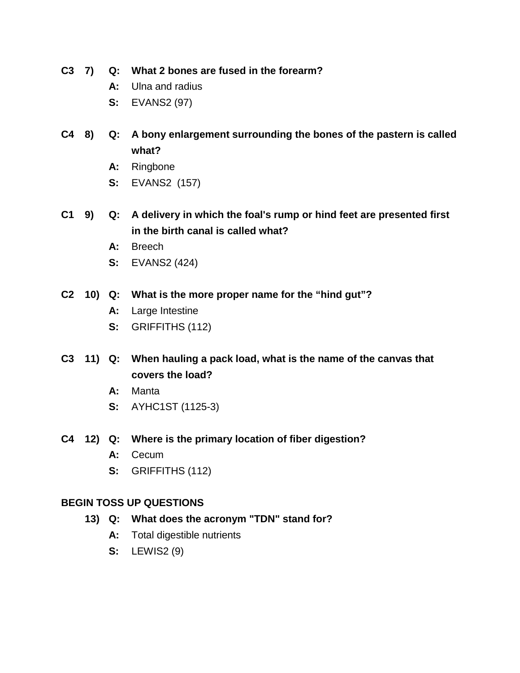**C3 7) Q: What 2 bones are fused in the forearm?**

- **A:** Ulna and radius
- **S:** EVANS2 (97)
- **C4 8) Q: A bony enlargement surrounding the bones of the pastern is called what?**
	- **A:** Ringbone
	- **S:** EVANS2 (157)
- **C1 9) Q: A delivery in which the foal's rump or hind feet are presented first in the birth canal is called what?**
	- **A:** Breech
	- **S:** EVANS2 (424)
- **C2 10) Q: What is the more proper name for the "hind gut"?**
	- **A:** Large Intestine
	- **S:** GRIFFITHS (112)
- **C3 11) Q: When hauling a pack load, what is the name of the canvas that covers the load?**
	- **A:** Manta
	- **S:** AYHC1ST (1125-3)
- **C4 12) Q: Where is the primary location of fiber digestion?**
	- **A:** Cecum
	- **S:** GRIFFITHS (112)

### **BEGIN TOSS UP QUESTIONS**

- **13) Q: What does the acronym "TDN" stand for?**
	- **A:** Total digestible nutrients
	- **S:** LEWIS2 (9)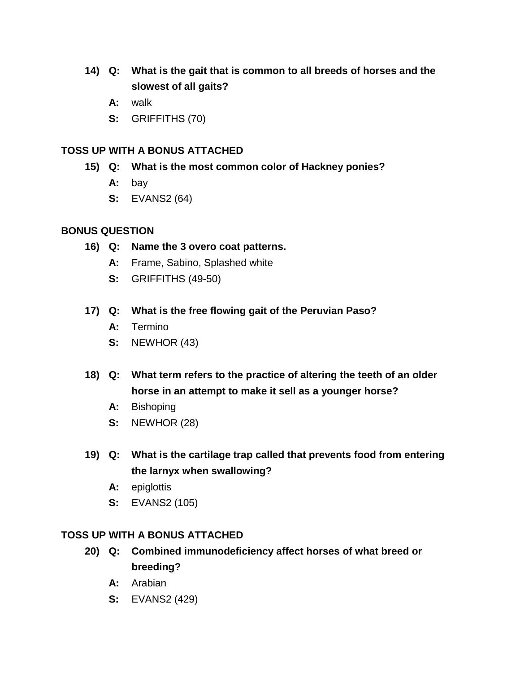- **14) Q: What is the gait that is common to all breeds of horses and the slowest of all gaits?**
	- **A:** walk
	- **S:** GRIFFITHS (70)

- **15) Q: What is the most common color of Hackney ponies?**
	- **A:** bay
	- **S:** EVANS2 (64)

# **BONUS QUESTION**

- **16) Q: Name the 3 overo coat patterns.**
	- **A:** Frame, Sabino, Splashed white
	- **S:** GRIFFITHS (49-50)
- **17) Q: What is the free flowing gait of the Peruvian Paso?**
	- **A:** Termino
	- **S:** NEWHOR (43)
- **18) Q: What term refers to the practice of altering the teeth of an older horse in an attempt to make it sell as a younger horse?**
	- **A:** Bishoping
	- **S:** NEWHOR (28)
- **19) Q: What is the cartilage trap called that prevents food from entering the larnyx when swallowing?**
	- **A:** epiglottis
	- **S:** EVANS2 (105)

# **TOSS UP WITH A BONUS ATTACHED**

- **20) Q: Combined immunodeficiency affect horses of what breed or breeding?**
	- **A:** Arabian
	- **S:** EVANS2 (429)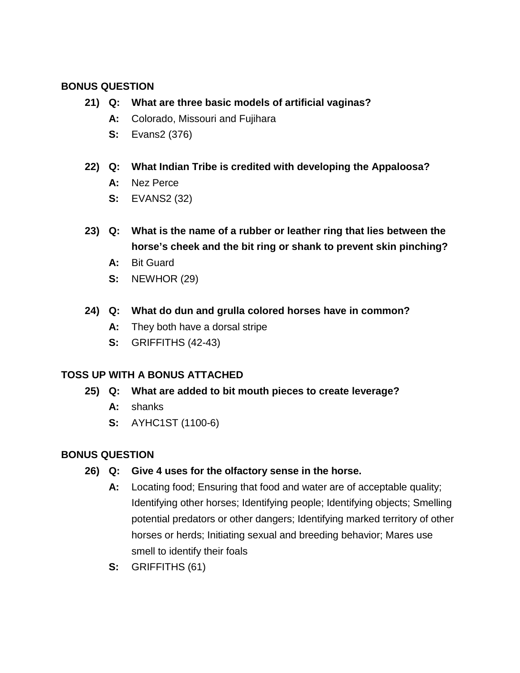# **BONUS QUESTION**

- **21) Q: What are three basic models of artificial vaginas?**
	- **A:** Colorado, Missouri and Fujihara
	- **S:** Evans2 (376)
- **22) Q: What Indian Tribe is credited with developing the Appaloosa?**
	- **A:** Nez Perce
	- **S:** EVANS2 (32)
- **23) Q: What is the name of a rubber or leather ring that lies between the horse's cheek and the bit ring or shank to prevent skin pinching?**
	- **A:** Bit Guard
	- **S:** NEWHOR (29)
- **24) Q: What do dun and grulla colored horses have in common?**
	- **A:** They both have a dorsal stripe
	- **S:** GRIFFITHS (42-43)

# **TOSS UP WITH A BONUS ATTACHED**

- **25) Q: What are added to bit mouth pieces to create leverage?**
	- **A:** shanks
	- **S:** AYHC1ST (1100-6)

- **26) Q: Give 4 uses for the olfactory sense in the horse.**
	- **A:** Locating food; Ensuring that food and water are of acceptable quality; Identifying other horses; Identifying people; Identifying objects; Smelling potential predators or other dangers; Identifying marked territory of other horses or herds; Initiating sexual and breeding behavior; Mares use smell to identify their foals
	- **S:** GRIFFITHS (61)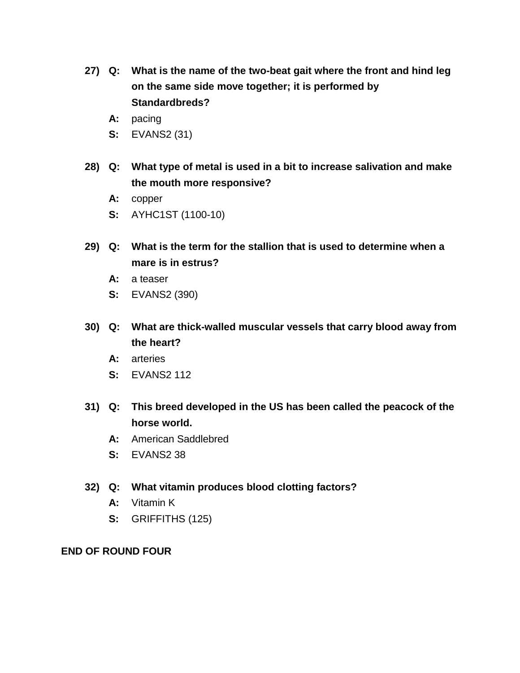- **27) Q: What is the name of the two-beat gait where the front and hind leg on the same side move together; it is performed by Standardbreds?**
	- **A:** pacing
	- **S:** EVANS2 (31)
- **28) Q: What type of metal is used in a bit to increase salivation and make the mouth more responsive?**
	- **A:** copper
	- **S:** AYHC1ST (1100-10)
- **29) Q: What is the term for the stallion that is used to determine when a mare is in estrus?**
	- **A:** a teaser
	- **S:** EVANS2 (390)
- **30) Q: What are thick-walled muscular vessels that carry blood away from the heart?**
	- **A:** arteries
	- **S:** EVANS2 112
- **31) Q: This breed developed in the US has been called the peacock of the horse world.**
	- **A:** American Saddlebred
	- **S:** EVANS2 38
- **32) Q: What vitamin produces blood clotting factors?**
	- **A:** Vitamin K
	- **S:** GRIFFITHS (125)

### **END OF ROUND FOUR**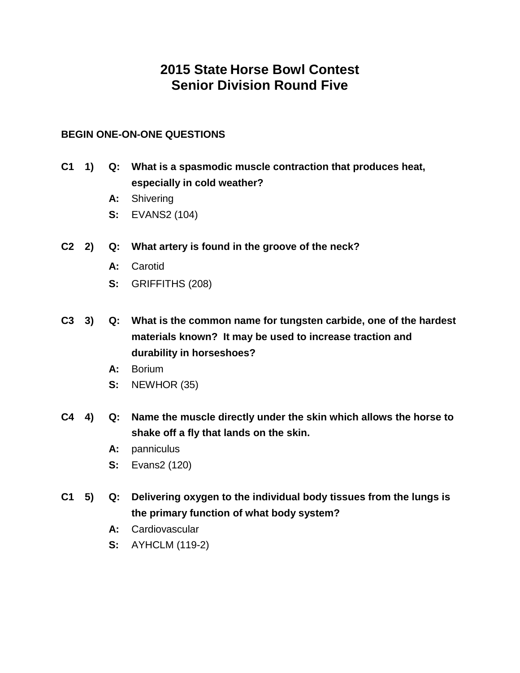# **2015 State Horse Bowl Contest Senior Division Round Five**

## **BEGIN ONE-ON-ONE QUESTIONS**

- **C1 1) Q: What is a spasmodic muscle contraction that produces heat, especially in cold weather?**
	- **A:** Shivering
	- **S:** EVANS2 (104)
- **C2 2) Q: What artery is found in the groove of the neck?**
	- **A:** Carotid
	- **S:** GRIFFITHS (208)
- **C3 3) Q: What is the common name for tungsten carbide, one of the hardest materials known? It may be used to increase traction and durability in horseshoes?**
	- **A:** Borium
	- **S:** NEWHOR (35)
- **C4 4) Q: Name the muscle directly under the skin which allows the horse to shake off a fly that lands on the skin.**
	- **A:** panniculus
	- **S:** Evans2 (120)
- **C1 5) Q: Delivering oxygen to the individual body tissues from the lungs is the primary function of what body system?**
	- **A:** Cardiovascular
	- **S:** AYHCLM (119-2)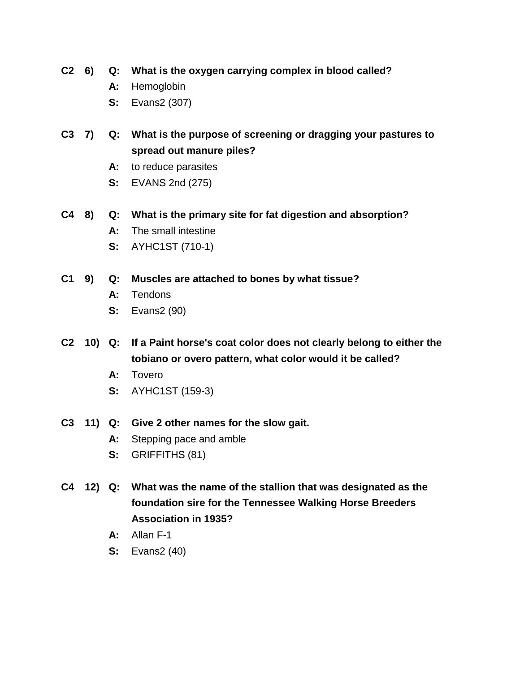**C2 6) Q: What is the oxygen carrying complex in blood called?**

- **A:** Hemoglobin
- **S:** Evans2 (307)
- **C3 7) Q: What is the purpose of screening or dragging your pastures to spread out manure piles?**
	- **A:** to reduce parasites
	- **S:** EVANS 2nd (275)
- **C4 8) Q: What is the primary site for fat digestion and absorption?**
	- **A:** The small intestine
	- **S:** AYHC1ST (710-1)
- **C1 9) Q: Muscles are attached to bones by what tissue?**
	- **A:** Tendons
	- **S:** Evans2 (90)
- **C2 10) Q: If a Paint horse's coat color does not clearly belong to either the tobiano or overo pattern, what color would it be called?**
	- **A:** Tovero
	- **S:** AYHC1ST (159-3)
- **C3 11) Q: Give 2 other names for the slow gait.**
	- **A:** Stepping pace and amble
	- **S:** GRIFFITHS (81)
- **C4 12) Q: What was the name of the stallion that was designated as the foundation sire for the Tennessee Walking Horse Breeders Association in 1935?**
	- **A:** Allan F-1
	- **S:** Evans2 (40)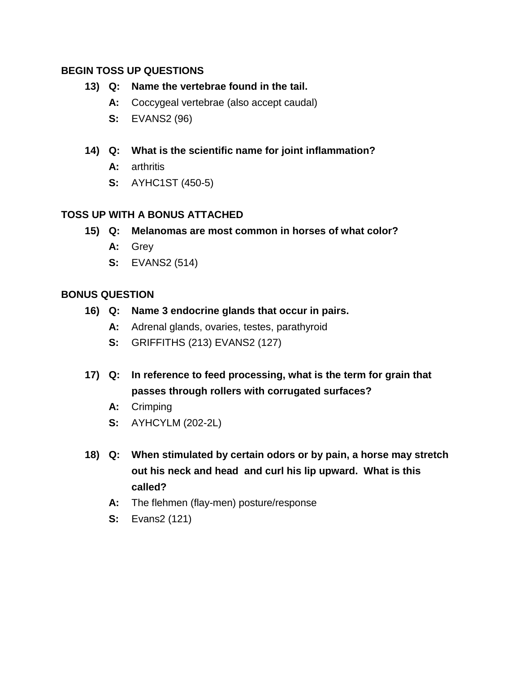## **BEGIN TOSS UP QUESTIONS**

## **13) Q: Name the vertebrae found in the tail.**

- **A:** Coccygeal vertebrae (also accept caudal)
- **S:** EVANS2 (96)
- **14) Q: What is the scientific name for joint inflammation?**
	- **A:** arthritis
	- **S:** AYHC1ST (450-5)

## **TOSS UP WITH A BONUS ATTACHED**

- **15) Q: Melanomas are most common in horses of what color?**
	- **A:** Grey
	- **S:** EVANS2 (514)

- **16) Q: Name 3 endocrine glands that occur in pairs.**
	- **A:** Adrenal glands, ovaries, testes, parathyroid
	- **S:** GRIFFITHS (213) EVANS2 (127)
- **17) Q: In reference to feed processing, what is the term for grain that passes through rollers with corrugated surfaces?**
	- **A:** Crimping
	- **S:** AYHCYLM (202-2L)
- **18) Q: When stimulated by certain odors or by pain, a horse may stretch out his neck and head and curl his lip upward. What is this called?**
	- **A:** The flehmen (flay-men) posture/response
	- **S:** Evans2 (121)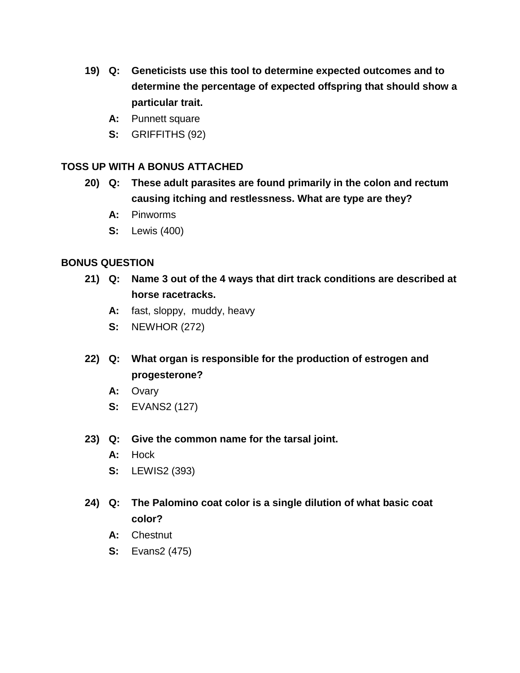- **19) Q: Geneticists use this tool to determine expected outcomes and to determine the percentage of expected offspring that should show a particular trait.**
	- **A:** Punnett square
	- **S:** GRIFFITHS (92)

- **20) Q: These adult parasites are found primarily in the colon and rectum causing itching and restlessness. What are type are they?**
	- **A:** Pinworms
	- **S:** Lewis (400)

- **21) Q: Name 3 out of the 4 ways that dirt track conditions are described at horse racetracks.**
	- **A:** fast, sloppy, muddy, heavy
	- **S:** NEWHOR (272)
- **22) Q: What organ is responsible for the production of estrogen and progesterone?**
	- **A:** Ovary
	- **S:** EVANS2 (127)
- **23) Q: Give the common name for the tarsal joint.**
	- **A:** Hock
	- **S:** LEWIS2 (393)
- **24) Q: The Palomino coat color is a single dilution of what basic coat color?**
	- **A:** Chestnut
	- **S:** Evans2 (475)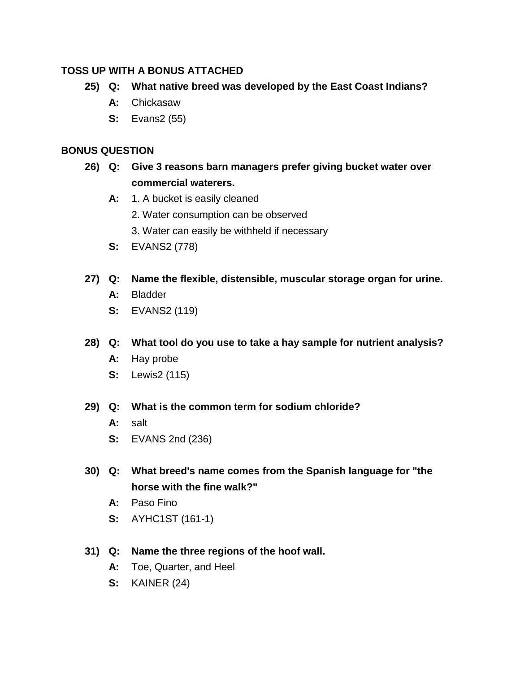- **25) Q: What native breed was developed by the East Coast Indians?**
	- **A:** Chickasaw
	- **S:** Evans2 (55)

# **BONUS QUESTION**

- **26) Q: Give 3 reasons barn managers prefer giving bucket water over commercial waterers.** 
	- A: 1. A bucket is easily cleaned
		- 2. Water consumption can be observed
		- 3. Water can easily be withheld if necessary
	- **S:** EVANS2 (778)
- **27) Q: Name the flexible, distensible, muscular storage organ for urine.**
	- **A:** Bladder
	- **S:** EVANS2 (119)

# **28) Q: What tool do you use to take a hay sample for nutrient analysis?**

- **A:** Hay probe
- **S:** Lewis2 (115)

# **29) Q: What is the common term for sodium chloride?**

- **A:** salt
- **S:** EVANS 2nd (236)
- **30) Q: What breed's name comes from the Spanish language for "the horse with the fine walk?"**
	- **A:** Paso Fino
	- **S:** AYHC1ST (161-1)

# **31) Q: Name the three regions of the hoof wall.**

- **A:** Toe, Quarter, and Heel
- **S:** KAINER (24)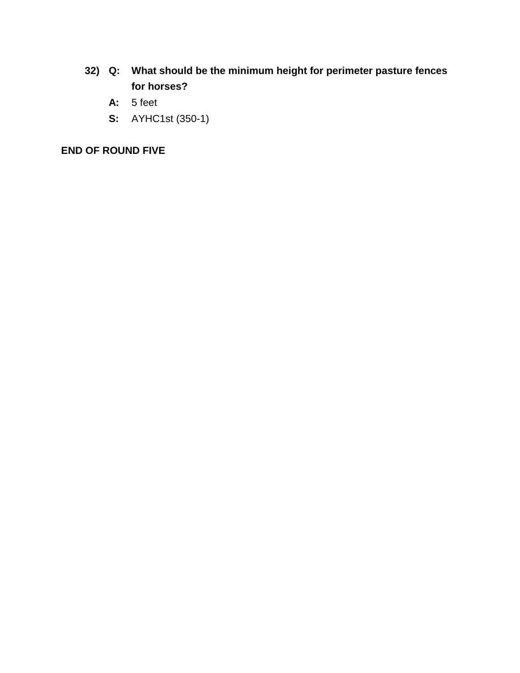- **32) Q: What should be the minimum height for perimeter pasture fences for horses?**
	- **A:** 5 feet
	- **S:** AYHC1st (350-1)

# **END OF ROUND FIVE**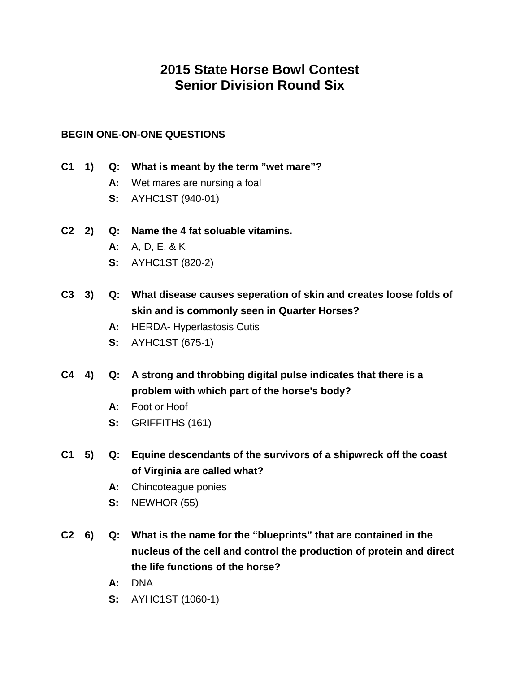# **2015 State Horse Bowl Contest Senior Division Round Six**

# **BEGIN ONE-ON-ONE QUESTIONS**

- **C1 1) Q: What is meant by the term "wet mare"?**
	- **A:** Wet mares are nursing a foal
	- **S:** AYHC1ST (940-01)
- **C2 2) Q: Name the 4 fat soluable vitamins.**
	- **A:** A, D, E, & K
	- **S:** AYHC1ST (820-2)
- **C3 3) Q: What disease causes seperation of skin and creates loose folds of skin and is commonly seen in Quarter Horses?**
	- **A:** HERDA- Hyperlastosis Cutis
	- **S:** AYHC1ST (675-1)
- **C4 4) Q: A strong and throbbing digital pulse indicates that there is a problem with which part of the horse's body?**
	- **A:** Foot or Hoof
	- **S:** GRIFFITHS (161)
- **C1 5) Q: Equine descendants of the survivors of a shipwreck off the coast of Virginia are called what?**
	- **A:** Chincoteague ponies
	- **S:** NEWHOR (55)
- **C2 6) Q: What is the name for the "blueprints" that are contained in the nucleus of the cell and control the production of protein and direct the life functions of the horse?**
	- **A:** DNA
	- **S:** AYHC1ST (1060-1)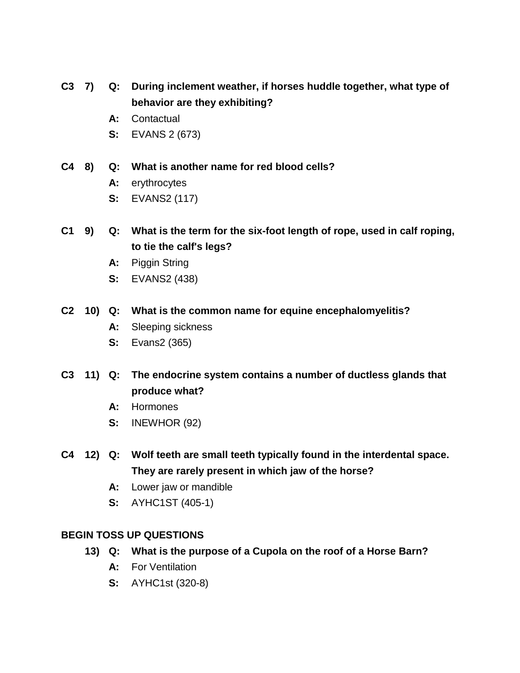- **C3 7) Q: During inclement weather, if horses huddle together, what type of behavior are they exhibiting?**
	- **A:** Contactual
	- **S:** EVANS 2 (673)
- **C4 8) Q: What is another name for red blood cells?**
	- **A:** erythrocytes
	- **S:** EVANS2 (117)
- **C1 9) Q: What is the term for the six-foot length of rope, used in calf roping, to tie the calf's legs?**
	- **A:** Piggin String
	- **S:** EVANS2 (438)

#### **C2 10) Q: What is the common name for equine encephalomyelitis?**

- **A:** Sleeping sickness
- **S:** Evans2 (365)
- **C3 11) Q: The endocrine system contains a number of ductless glands that produce what?**
	- **A:** Hormones
	- **S:** INEWHOR (92)
- **C4 12) Q: Wolf teeth are small teeth typically found in the interdental space. They are rarely present in which jaw of the horse?**
	- **A:** Lower jaw or mandible
	- **S:** AYHC1ST (405-1)

### **BEGIN TOSS UP QUESTIONS**

- **13) Q: What is the purpose of a Cupola on the roof of a Horse Barn?**
	- **A:** For Ventilation
	- **S:** AYHC1st (320-8)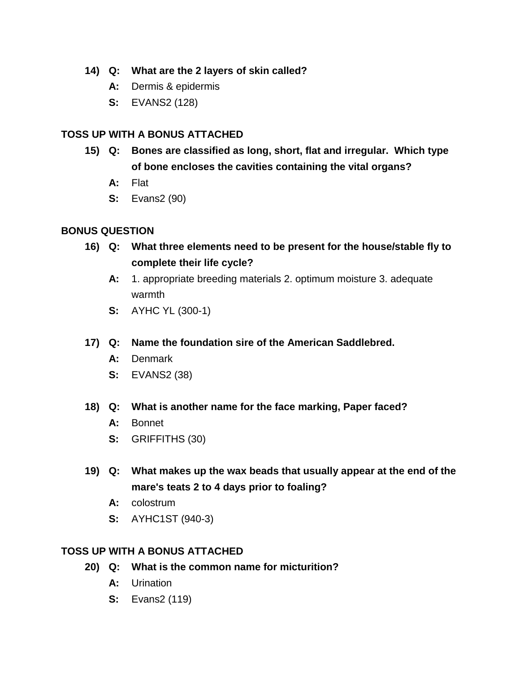## **14) Q: What are the 2 layers of skin called?**

- **A:** Dermis & epidermis
- **S:** EVANS2 (128)

# **TOSS UP WITH A BONUS ATTACHED**

- **15) Q: Bones are classified as long, short, flat and irregular. Which type of bone encloses the cavities containing the vital organs?**
	- **A:** Flat
	- **S:** Evans2 (90)

## **BONUS QUESTION**

- **16) Q: What three elements need to be present for the house/stable fly to complete their life cycle?**
	- **A:** 1. appropriate breeding materials 2. optimum moisture 3. adequate warmth
	- **S:** AYHC YL (300-1)
- **17) Q: Name the foundation sire of the American Saddlebred.**
	- **A:** Denmark
	- **S:** EVANS2 (38)

### **18) Q: What is another name for the face marking, Paper faced?**

- **A:** Bonnet
- **S:** GRIFFITHS (30)
- **19) Q: What makes up the wax beads that usually appear at the end of the mare's teats 2 to 4 days prior to foaling?**
	- **A:** colostrum
	- **S:** AYHC1ST (940-3)

# **TOSS UP WITH A BONUS ATTACHED**

- **20) Q: What is the common name for micturition?**
	- **A:** Urination
	- **S:** Evans2 (119)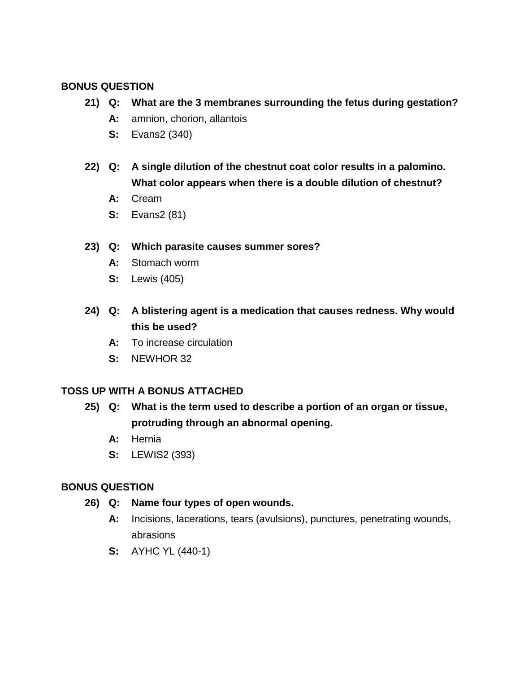## **BONUS QUESTION**

- **21) Q: What are the 3 membranes surrounding the fetus during gestation?**
	- **A:** amnion, chorion, allantois
	- **S:** Evans2 (340)
- **22) Q: A single dilution of the chestnut coat color results in a palomino. What color appears when there is a double dilution of chestnut?**
	- **A:** Cream
	- **S:** Evans2 (81)

## **23) Q: Which parasite causes summer sores?**

- **A:** Stomach worm
- **S:** Lewis (405)
- **24) Q: A blistering agent is a medication that causes redness. Why would this be used?**
	- **A:** To increase circulation
	- **S:** NEWHOR 32

### **TOSS UP WITH A BONUS ATTACHED**

- **25) Q: What is the term used to describe a portion of an organ or tissue, protruding through an abnormal opening.**
	- **A:** Hernia
	- **S:** LEWIS2 (393)

- **26) Q: Name four types of open wounds.**
	- **A:** Incisions, lacerations, tears (avulsions), punctures, penetrating wounds, abrasions
	- **S:** AYHC YL (440-1)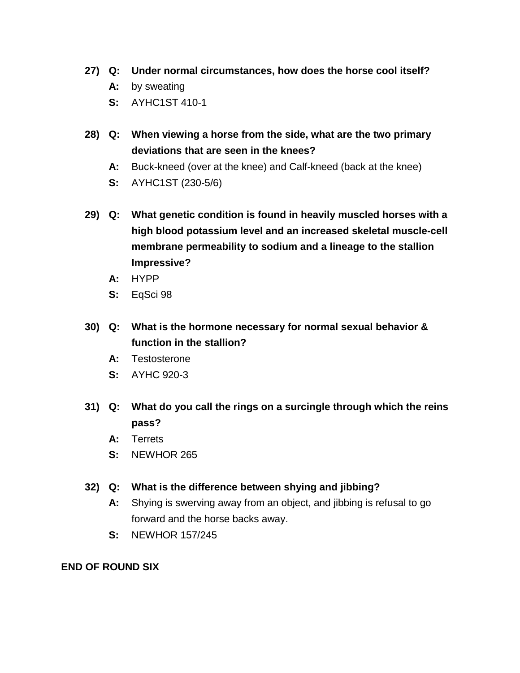- **27) Q: Under normal circumstances, how does the horse cool itself?**
	- **A:** by sweating
	- **S:** AYHC1ST 410-1
- **28) Q: When viewing a horse from the side, what are the two primary deviations that are seen in the knees?**
	- **A:** Buck-kneed (over at the knee) and Calf-kneed (back at the knee)
	- **S:** AYHC1ST (230-5/6)
- **29) Q: What genetic condition is found in heavily muscled horses with a high blood potassium level and an increased skeletal muscle-cell membrane permeability to sodium and a lineage to the stallion Impressive?**
	- **A:** HYPP
	- **S:** EqSci 98
- **30) Q: What is the hormone necessary for normal sexual behavior & function in the stallion?**
	- **A:** Testosterone
	- **S:** AYHC 920-3
- **31) Q: What do you call the rings on a surcingle through which the reins pass?**
	- **A:** Terrets
	- **S:** NEWHOR 265

### **32) Q: What is the difference between shying and jibbing?**

- **A:** Shying is swerving away from an object, and jibbing is refusal to go forward and the horse backs away.
- **S:** NEWHOR 157/245

## **END OF ROUND SIX**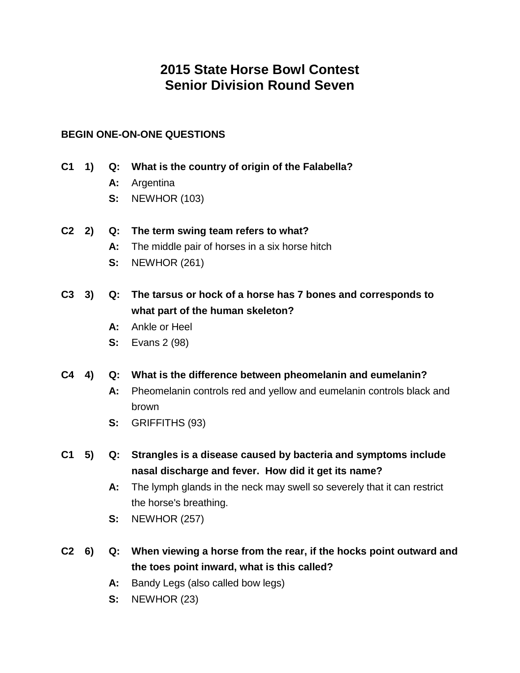# **2015 State Horse Bowl Contest Senior Division Round Seven**

# **BEGIN ONE-ON-ONE QUESTIONS**

- **C1 1) Q: What is the country of origin of the Falabella?**
	- **A:** Argentina
	- **S:** NEWHOR (103)
- **C2 2) Q: The term swing team refers to what?**
	- **A:** The middle pair of horses in a six horse hitch
	- **S:** NEWHOR (261)
- **C3 3) Q: The tarsus or hock of a horse has 7 bones and corresponds to what part of the human skeleton?**
	- **A:** Ankle or Heel
	- **S:** Evans 2 (98)
- **C4 4) Q: What is the difference between pheomelanin and eumelanin?**
	- **A:** Pheomelanin controls red and yellow and eumelanin controls black and brown
	- **S:** GRIFFITHS (93)
- **C1 5) Q: Strangles is a disease caused by bacteria and symptoms include nasal discharge and fever. How did it get its name?**
	- **A:** The lymph glands in the neck may swell so severely that it can restrict the horse's breathing.
	- **S:** NEWHOR (257)
- **C2 6) Q: When viewing a horse from the rear, if the hocks point outward and the toes point inward, what is this called?**
	- **A:** Bandy Legs (also called bow legs)
	- **S:** NEWHOR (23)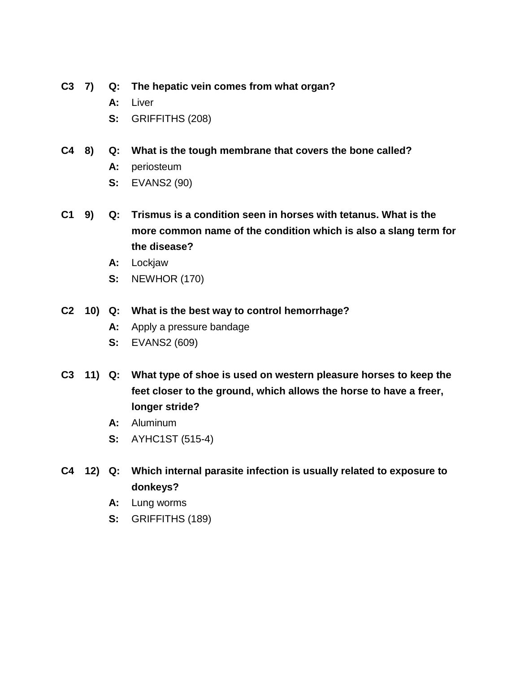- **C3 7) Q: The hepatic vein comes from what organ?**
	- **A:** Liver
	- **S:** GRIFFITHS (208)
- **C4 8) Q: What is the tough membrane that covers the bone called?**
	- **A:** periosteum
	- **S:** EVANS2 (90)
- **C1 9) Q: Trismus is a condition seen in horses with tetanus. What is the more common name of the condition which is also a slang term for the disease?**
	- **A:** Lockjaw
	- **S:** NEWHOR (170)

## **C2 10) Q: What is the best way to control hemorrhage?**

- **A:** Apply a pressure bandage
- **S:** EVANS2 (609)
- **C3 11) Q: What type of shoe is used on western pleasure horses to keep the feet closer to the ground, which allows the horse to have a freer, longer stride?**
	- **A:** Aluminum
	- **S:** AYHC1ST (515-4)
- **C4 12) Q: Which internal parasite infection is usually related to exposure to donkeys?**
	- **A:** Lung worms
	- **S:** GRIFFITHS (189)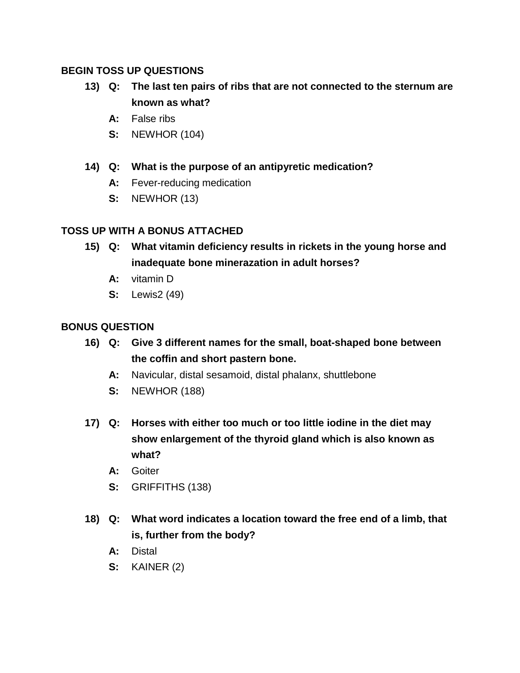## **BEGIN TOSS UP QUESTIONS**

- **13) Q: The last ten pairs of ribs that are not connected to the sternum are known as what?**
	- **A:** False ribs
	- **S:** NEWHOR (104)
- **14) Q: What is the purpose of an antipyretic medication?**
	- **A:** Fever-reducing medication
	- **S:** NEWHOR (13)

# **TOSS UP WITH A BONUS ATTACHED**

- **15) Q: What vitamin deficiency results in rickets in the young horse and inadequate bone minerazation in adult horses?**
	- **A:** vitamin D
	- **S:** Lewis2 (49)

- **16) Q: Give 3 different names for the small, boat-shaped bone between the coffin and short pastern bone.**
	- **A:** Navicular, distal sesamoid, distal phalanx, shuttlebone
	- **S:** NEWHOR (188)
- **17) Q: Horses with either too much or too little iodine in the diet may show enlargement of the thyroid gland which is also known as what?**
	- **A:** Goiter
	- **S:** GRIFFITHS (138)
- **18) Q: What word indicates a location toward the free end of a limb, that is, further from the body?**
	- **A:** Distal
	- **S:** KAINER (2)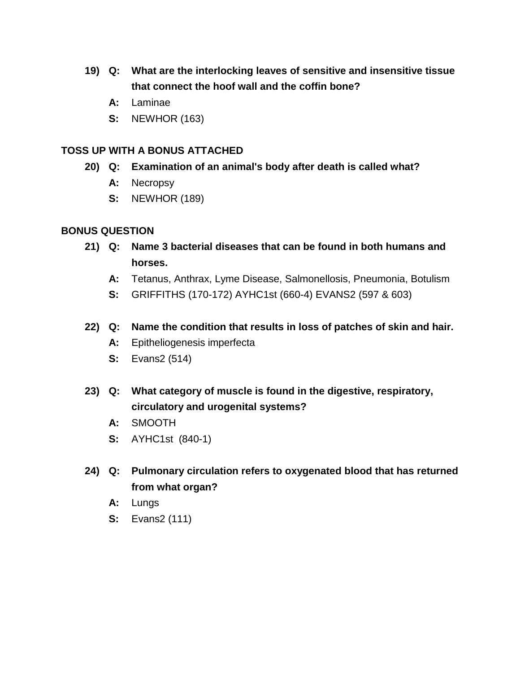- **19) Q: What are the interlocking leaves of sensitive and insensitive tissue that connect the hoof wall and the coffin bone?**
	- **A:** Laminae
	- **S:** NEWHOR (163)

- **20) Q: Examination of an animal's body after death is called what?**
	- **A:** Necropsy
	- **S:** NEWHOR (189)

- **21) Q: Name 3 bacterial diseases that can be found in both humans and horses.**
	- **A:** Tetanus, Anthrax, Lyme Disease, Salmonellosis, Pneumonia, Botulism
	- **S:** GRIFFITHS (170-172) AYHC1st (660-4) EVANS2 (597 & 603)
- **22) Q: Name the condition that results in loss of patches of skin and hair.**
	- **A:** Epitheliogenesis imperfecta
	- **S:** Evans2 (514)
- **23) Q: What category of muscle is found in the digestive, respiratory, circulatory and urogenital systems?**
	- **A:** SMOOTH
	- **S:** AYHC1st (840-1)
- **24) Q: Pulmonary circulation refers to oxygenated blood that has returned from what organ?**
	- **A:** Lungs
	- **S:** Evans2 (111)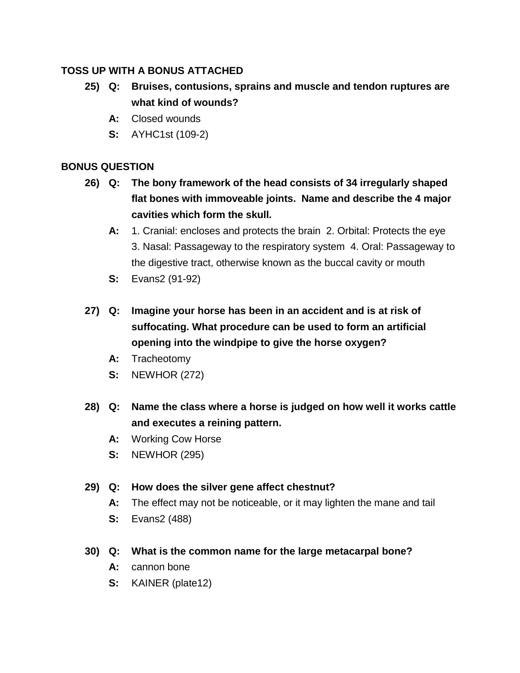- **25) Q: Bruises, contusions, sprains and muscle and tendon ruptures are what kind of wounds?**
	- **A:** Closed wounds
	- **S:** AYHC1st (109-2)

# **BONUS QUESTION**

- **26) Q: The bony framework of the head consists of 34 irregularly shaped flat bones with immoveable joints. Name and describe the 4 major cavities which form the skull.**
	- **A:** 1. Cranial: encloses and protects the brain 2. Orbital: Protects the eye 3. Nasal: Passageway to the respiratory system 4. Oral: Passageway to the digestive tract, otherwise known as the buccal cavity or mouth
	- **S:** Evans2 (91-92)
- **27) Q: Imagine your horse has been in an accident and is at risk of suffocating. What procedure can be used to form an artificial opening into the windpipe to give the horse oxygen?**
	- **A:** Tracheotomy
	- **S:** NEWHOR (272)
- **28) Q: Name the class where a horse is judged on how well it works cattle and executes a reining pattern.**
	- **A:** Working Cow Horse
	- **S:** NEWHOR (295)

# **29) Q: How does the silver gene affect chestnut?**

- **A:** The effect may not be noticeable, or it may lighten the mane and tail
- **S:** Evans2 (488)

# **30) Q: What is the common name for the large metacarpal bone?**

- **A:** cannon bone
- **S:** KAINER (plate12)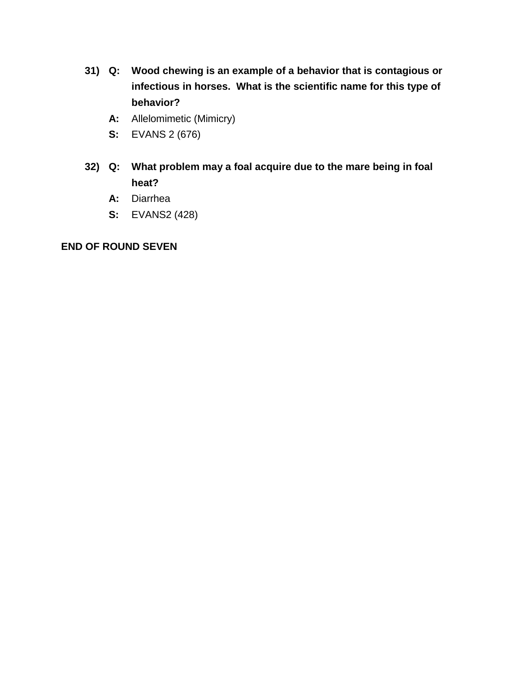- **31) Q: Wood chewing is an example of a behavior that is contagious or infectious in horses. What is the scientific name for this type of behavior?**
	- **A:** Allelomimetic (Mimicry)
	- **S:** EVANS 2 (676)
- **32) Q: What problem may a foal acquire due to the mare being in foal heat?**
	- **A:** Diarrhea
	- **S:** EVANS2 (428)

## **END OF ROUND SEVEN**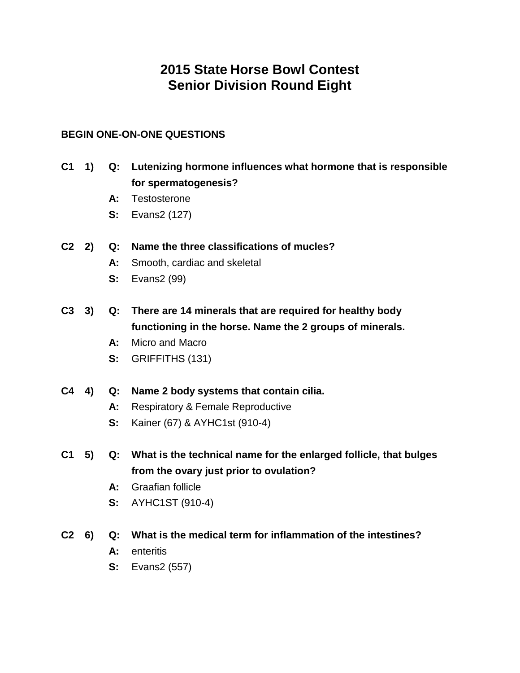# **2015 State Horse Bowl Contest Senior Division Round Eight**

# **BEGIN ONE-ON-ONE QUESTIONS**

- **C1 1) Q: Lutenizing hormone influences what hormone that is responsible for spermatogenesis?**
	- **A:** Testosterone
	- **S:** Evans2 (127)
- **C2 2) Q: Name the three classifications of mucles?**
	- **A:** Smooth, cardiac and skeletal
	- **S:** Evans2 (99)
- **C3 3) Q: There are 14 minerals that are required for healthy body functioning in the horse. Name the 2 groups of minerals.**
	- **A:** Micro and Macro
	- **S:** GRIFFITHS (131)
- **C4 4) Q: Name 2 body systems that contain cilia.**
	- **A:** Respiratory & Female Reproductive
	- **S:** Kainer (67) & AYHC1st (910-4)
- **C1 5) Q: What is the technical name for the enlarged follicle, that bulges from the ovary just prior to ovulation?**
	- **A:** Graafian follicle
	- **S:** AYHC1ST (910-4)
- **C2 6) Q: What is the medical term for inflammation of the intestines?**
	- **A:** enteritis
	- **S:** Evans2 (557)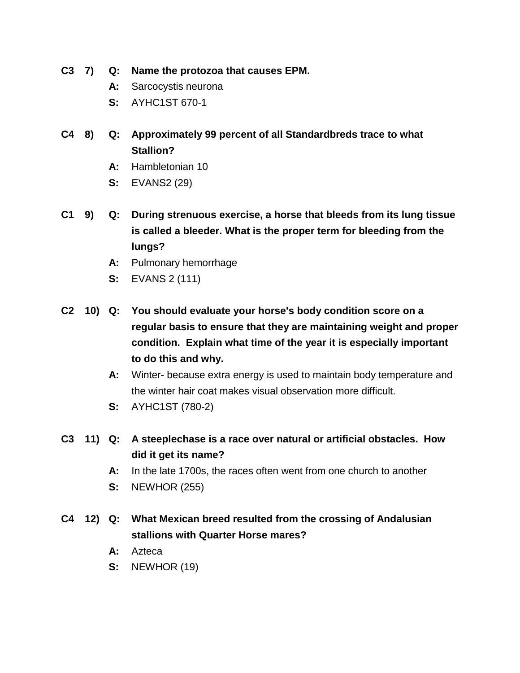- **C3 7) Q: Name the protozoa that causes EPM.**
	- **A:** Sarcocystis neurona
	- **S:** AYHC1ST 670-1
- **C4 8) Q: Approximately 99 percent of all Standardbreds trace to what Stallion?**
	- **A:** Hambletonian 10
	- **S:** EVANS2 (29)
- **C1 9) Q: During strenuous exercise, a horse that bleeds from its lung tissue is called a bleeder. What is the proper term for bleeding from the lungs?**
	- **A:** Pulmonary hemorrhage
	- **S:** EVANS 2 (111)
- **C2 10) Q: You should evaluate your horse's body condition score on a regular basis to ensure that they are maintaining weight and proper condition. Explain what time of the year it is especially important to do this and why.**
	- **A:** Winter- because extra energy is used to maintain body temperature and the winter hair coat makes visual observation more difficult.
	- **S:** AYHC1ST (780-2)
- **C3 11) Q: A steeplechase is a race over natural or artificial obstacles. How did it get its name?**
	- **A:** In the late 1700s, the races often went from one church to another
	- **S:** NEWHOR (255)
- **C4 12) Q: What Mexican breed resulted from the crossing of Andalusian stallions with Quarter Horse mares?**
	- **A:** Azteca
	- **S:** NEWHOR (19)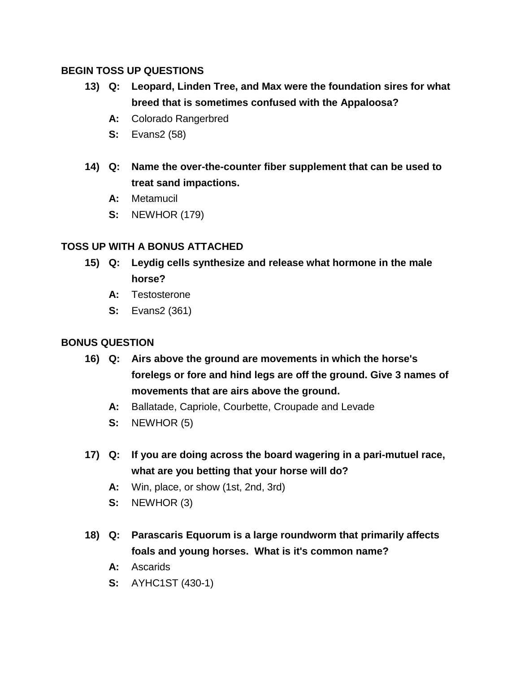# **BEGIN TOSS UP QUESTIONS**

- **13) Q: Leopard, Linden Tree, and Max were the foundation sires for what breed that is sometimes confused with the Appaloosa?**
	- **A:** Colorado Rangerbred
	- **S:** Evans2 (58)
- **14) Q: Name the over-the-counter fiber supplement that can be used to treat sand impactions.**
	- **A:** Metamucil
	- **S:** NEWHOR (179)

# **TOSS UP WITH A BONUS ATTACHED**

- **15) Q: Leydig cells synthesize and release what hormone in the male horse?**
	- **A:** Testosterone
	- **S:** Evans2 (361)

- **16) Q: Airs above the ground are movements in which the horse's forelegs or fore and hind legs are off the ground. Give 3 names of movements that are airs above the ground.**
	- **A:** Ballatade, Capriole, Courbette, Croupade and Levade
	- **S:** NEWHOR (5)
- **17) Q: If you are doing across the board wagering in a pari-mutuel race, what are you betting that your horse will do?**
	- **A:** Win, place, or show (1st, 2nd, 3rd)
	- **S:** NEWHOR (3)
- **18) Q: Parascaris Equorum is a large roundworm that primarily affects foals and young horses. What is it's common name?**
	- **A:** Ascarids
	- **S:** AYHC1ST (430-1)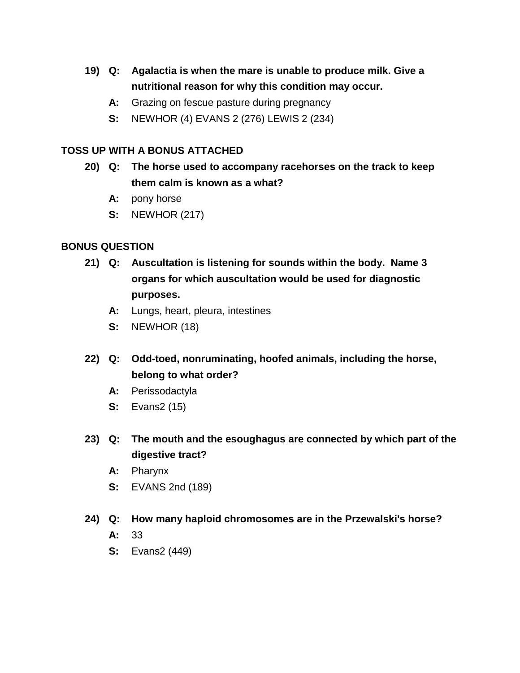- **19) Q: Agalactia is when the mare is unable to produce milk. Give a nutritional reason for why this condition may occur.**
	- **A:** Grazing on fescue pasture during pregnancy
	- **S:** NEWHOR (4) EVANS 2 (276) LEWIS 2 (234)

- **20) Q: The horse used to accompany racehorses on the track to keep them calm is known as a what?**
	- **A:** pony horse
	- **S:** NEWHOR (217)

### **BONUS QUESTION**

- **21) Q: Auscultation is listening for sounds within the body. Name 3 organs for which auscultation would be used for diagnostic purposes.**
	- **A:** Lungs, heart, pleura, intestines
	- **S:** NEWHOR (18)
- **22) Q: Odd-toed, nonruminating, hoofed animals, including the horse, belong to what order?**
	- **A:** Perissodactyla
	- **S:** Evans2 (15)
- **23) Q: The mouth and the esoughagus are connected by which part of the digestive tract?**
	- **A:** Pharynx
	- **S:** EVANS 2nd (189)

### **24) Q: How many haploid chromosomes are in the Przewalski's horse?**

- **A:** 33
- **S:** Evans2 (449)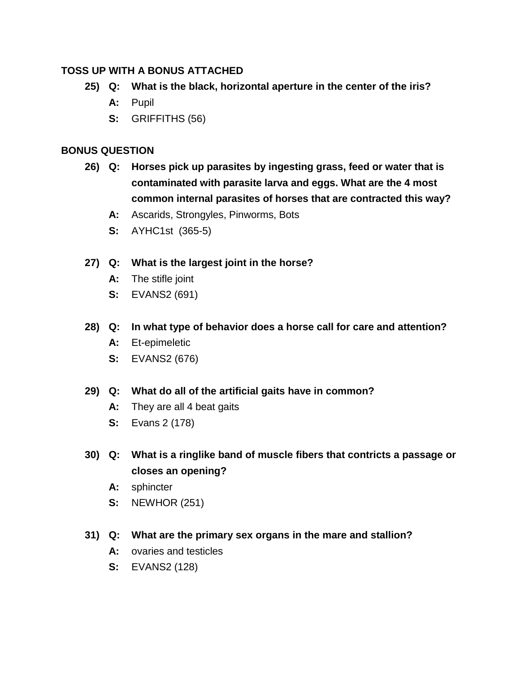- **25) Q: What is the black, horizontal aperture in the center of the iris?**
	- **A:** Pupil
	- **S:** GRIFFITHS (56)

# **BONUS QUESTION**

- **26) Q: Horses pick up parasites by ingesting grass, feed or water that is contaminated with parasite larva and eggs. What are the 4 most common internal parasites of horses that are contracted this way?**
	- **A:** Ascarids, Strongyles, Pinworms, Bots
	- **S:** AYHC1st (365-5)

# **27) Q: What is the largest joint in the horse?**

- **A:** The stifle joint
- **S:** EVANS2 (691)
- **28) Q: In what type of behavior does a horse call for care and attention?**
	- **A:** Et-epimeletic
	- **S:** EVANS2 (676)
- **29) Q: What do all of the artificial gaits have in common?**
	- **A:** They are all 4 beat gaits
	- **S:** Evans 2 (178)
- **30) Q: What is a ringlike band of muscle fibers that contricts a passage or closes an opening?**
	- **A:** sphincter
	- **S:** NEWHOR (251)

# **31) Q: What are the primary sex organs in the mare and stallion?**

- **A:** ovaries and testicles
- **S:** EVANS2 (128)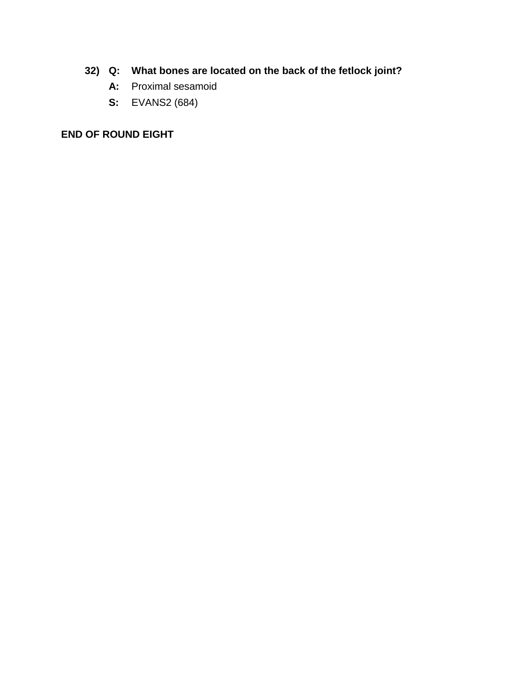- **32) Q: What bones are located on the back of the fetlock joint?**
	- **A:** Proximal sesamoid
	- **S:** EVANS2 (684)

# **END OF ROUND EIGHT**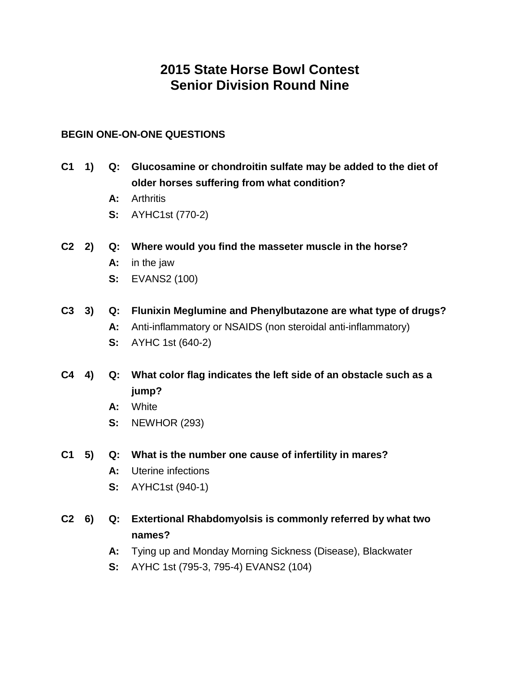# **2015 State Horse Bowl Contest Senior Division Round Nine**

## **BEGIN ONE-ON-ONE QUESTIONS**

- **C1 1) Q: Glucosamine or chondroitin sulfate may be added to the diet of older horses suffering from what condition?**
	- **A:** Arthritis
	- **S:** AYHC1st (770-2)
- **C2 2) Q: Where would you find the masseter muscle in the horse?**
	- **A:** in the jaw
	- **S:** EVANS2 (100)
- **C3 3) Q: Flunixin Meglumine and Phenylbutazone are what type of drugs? A:** Anti-inflammatory or NSAIDS (non steroidal anti-inflammatory)
	- **S:** AYHC 1st (640-2)
- **C4 4) Q: What color flag indicates the left side of an obstacle such as a jump?**
	- **A:** White
	- **S:** NEWHOR (293)

### **C1 5) Q: What is the number one cause of infertility in mares?**

- **A:** Uterine infections
- **S:** AYHC1st (940-1)
- **C2 6) Q: Extertional Rhabdomyolsis is commonly referred by what two names?**
	- **A:** Tying up and Monday Morning Sickness (Disease), Blackwater
	- **S:** AYHC 1st (795-3, 795-4) EVANS2 (104)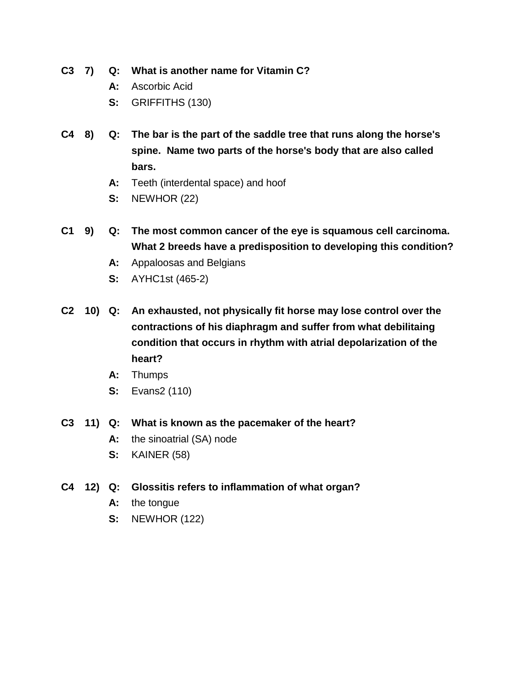**C3 7) Q: What is another name for Vitamin C?**

- **A:** Ascorbic Acid
- **S:** GRIFFITHS (130)
- **C4 8) Q: The bar is the part of the saddle tree that runs along the horse's spine. Name two parts of the horse's body that are also called bars.**
	- **A:** Teeth (interdental space) and hoof
	- **S:** NEWHOR (22)
- **C1 9) Q: The most common cancer of the eye is squamous cell carcinoma. What 2 breeds have a predisposition to developing this condition?**
	- **A:** Appaloosas and Belgians
	- **S:** AYHC1st (465-2)
- **C2 10) Q: An exhausted, not physically fit horse may lose control over the contractions of his diaphragm and suffer from what debilitaing condition that occurs in rhythm with atrial depolarization of the heart?**
	- **A:** Thumps
	- **S:** Evans2 (110)
- **C3 11) Q: What is known as the pacemaker of the heart?**
	- **A:** the sinoatrial (SA) node
	- **S:** KAINER (58)
- **C4 12) Q: Glossitis refers to inflammation of what organ?**
	- **A:** the tongue
	- **S:** NEWHOR (122)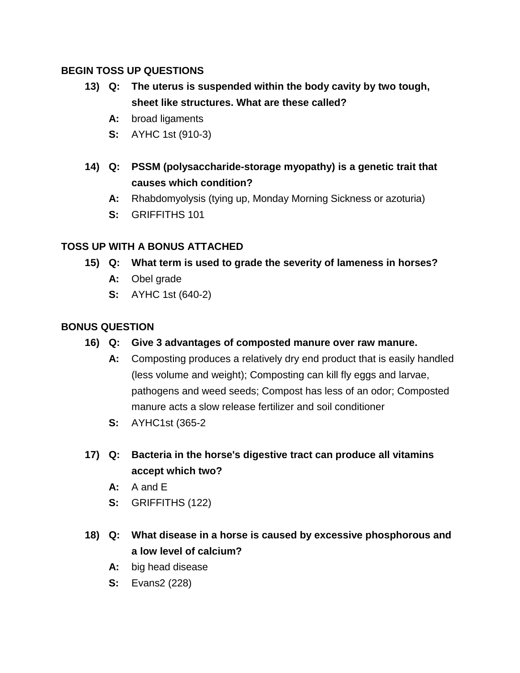# **BEGIN TOSS UP QUESTIONS**

- **13) Q: The uterus is suspended within the body cavity by two tough, sheet like structures. What are these called?**
	- **A:** broad ligaments
	- **S:** AYHC 1st (910-3)
- **14) Q: PSSM (polysaccharide-storage myopathy) is a genetic trait that causes which condition?**
	- **A:** Rhabdomyolysis (tying up, Monday Morning Sickness or azoturia)
	- **S:** GRIFFITHS 101

# **TOSS UP WITH A BONUS ATTACHED**

- **15) Q: What term is used to grade the severity of lameness in horses?**
	- **A:** Obel grade
	- **S:** AYHC 1st (640-2)

- **16) Q: Give 3 advantages of composted manure over raw manure.**
	- **A:** Composting produces a relatively dry end product that is easily handled (less volume and weight); Composting can kill fly eggs and larvae, pathogens and weed seeds; Compost has less of an odor; Composted manure acts a slow release fertilizer and soil conditioner
	- **S:** AYHC1st (365-2
- **17) Q: Bacteria in the horse's digestive tract can produce all vitamins accept which two?**
	- **A:** A and E
	- **S:** GRIFFITHS (122)
- **18) Q: What disease in a horse is caused by excessive phosphorous and a low level of calcium?**
	- **A:** big head disease
	- **S:** Evans2 (228)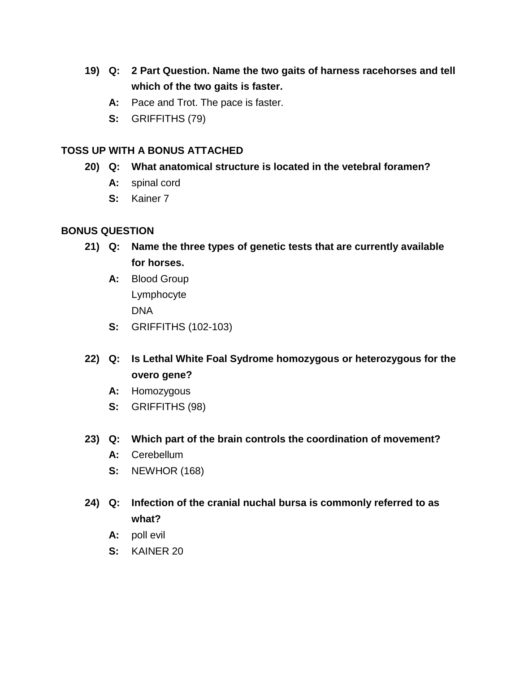- **19) Q: 2 Part Question. Name the two gaits of harness racehorses and tell which of the two gaits is faster.**
	- **A:** Pace and Trot. The pace is faster.
	- **S:** GRIFFITHS (79)

- **20) Q: What anatomical structure is located in the vetebral foramen?**
	- **A:** spinal cord
	- **S:** Kainer 7

- **21) Q: Name the three types of genetic tests that are currently available for horses.**
	- **A:** Blood Group Lymphocyte DNA
	- **S:** GRIFFITHS (102-103)
- **22) Q: Is Lethal White Foal Sydrome homozygous or heterozygous for the overo gene?**
	- **A:** Homozygous
	- **S:** GRIFFITHS (98)
- **23) Q: Which part of the brain controls the coordination of movement?**
	- **A:** Cerebellum
	- **S:** NEWHOR (168)
- **24) Q: Infection of the cranial nuchal bursa is commonly referred to as what?**
	- **A:** poll evil
	- **S:** KAINER 20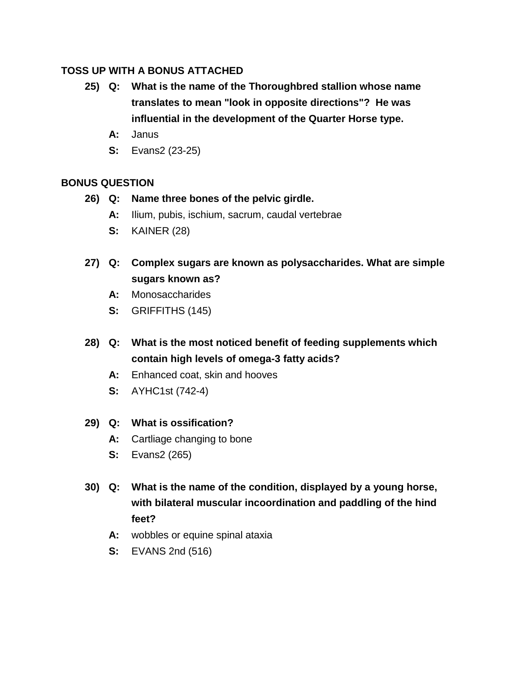- **25) Q: What is the name of the Thoroughbred stallion whose name translates to mean "look in opposite directions"? He was influential in the development of the Quarter Horse type.**
	- **A:** Janus
	- **S:** Evans2 (23-25)

# **BONUS QUESTION**

- **26) Q: Name three bones of the pelvic girdle.**
	- **A:** Ilium, pubis, ischium, sacrum, caudal vertebrae
	- **S:** KAINER (28)
- **27) Q: Complex sugars are known as polysaccharides. What are simple sugars known as?**
	- **A:** Monosaccharides
	- **S:** GRIFFITHS (145)
- **28) Q: What is the most noticed benefit of feeding supplements which contain high levels of omega-3 fatty acids?**
	- **A:** Enhanced coat, skin and hooves
	- **S:** AYHC1st (742-4)

# **29) Q: What is ossification?**

- **A:** Cartliage changing to bone
- **S:** Evans2 (265)
- **30) Q: What is the name of the condition, displayed by a young horse, with bilateral muscular incoordination and paddling of the hind feet?**
	- **A:** wobbles or equine spinal ataxia
	- **S:** EVANS 2nd (516)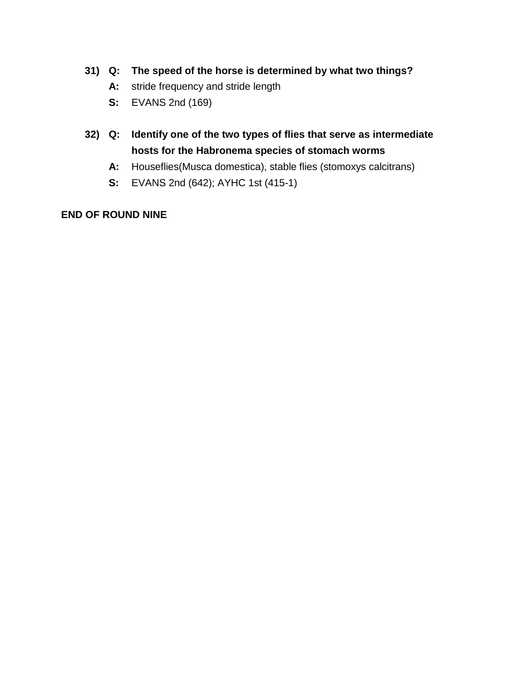## **31) Q: The speed of the horse is determined by what two things?**

- **A:** stride frequency and stride length
- **S:** EVANS 2nd (169)
- **32) Q: Identify one of the two types of flies that serve as intermediate hosts for the Habronema species of stomach worms**
	- **A:** Houseflies(Musca domestica), stable flies (stomoxys calcitrans)
	- **S:** EVANS 2nd (642); AYHC 1st (415-1)

### **END OF ROUND NINE**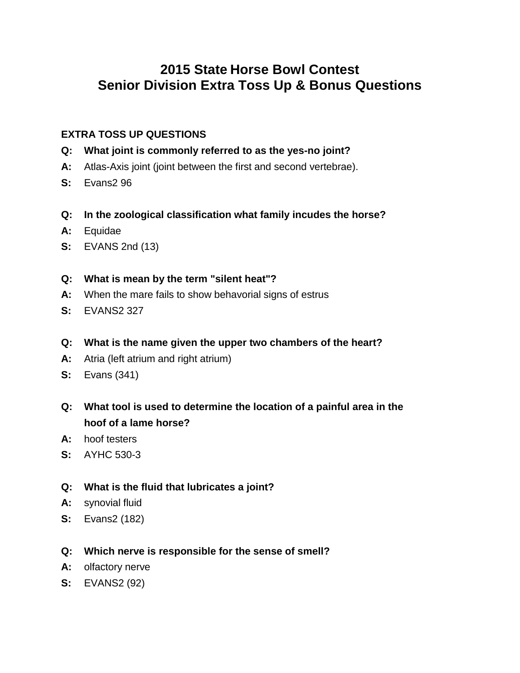# **2015 State Horse Bowl Contest Senior Division Extra Toss Up & Bonus Questions**

# **EXTRA TOSS UP QUESTIONS**

- **Q: What joint is commonly referred to as the yes-no joint?**
- **A:** Atlas-Axis joint (joint between the first and second vertebrae).
- **S:** Evans2 96
- **Q: In the zoological classification what family incudes the horse?**
- **A:** Equidae
- **S:** EVANS 2nd (13)
- **Q: What is mean by the term "silent heat"?**
- **A:** When the mare fails to show behavorial signs of estrus
- **S:** EVANS2 327
- **Q: What is the name given the upper two chambers of the heart?**
- **A:** Atria (left atrium and right atrium)
- **S:** Evans (341)
- **Q: What tool is used to determine the location of a painful area in the hoof of a lame horse?**
- **A:** hoof testers
- **S:** AYHC 530-3
- **Q: What is the fluid that lubricates a joint?**
- **A:** synovial fluid
- **S:** Evans2 (182)
- **Q: Which nerve is responsible for the sense of smell?**
- **A:** olfactory nerve
- **S:** EVANS2 (92)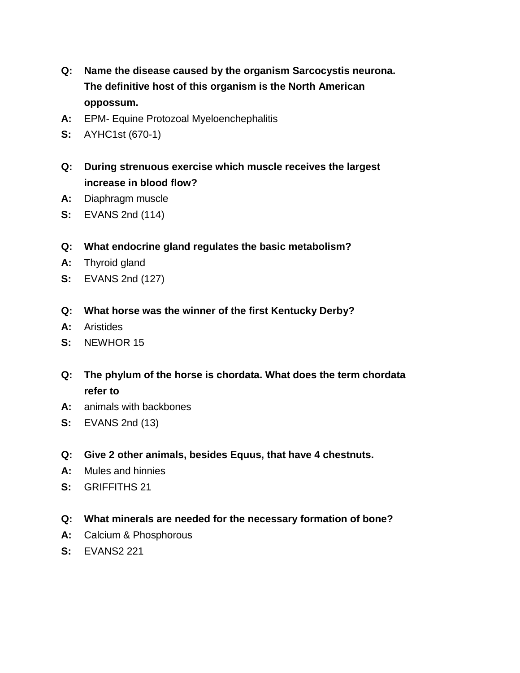- **Q: Name the disease caused by the organism Sarcocystis neurona. The definitive host of this organism is the North American oppossum.**
- **A:** EPM- Equine Protozoal Myeloenchephalitis
- **S:** AYHC1st (670-1)
- **Q: During strenuous exercise which muscle receives the largest increase in blood flow?**
- **A:** Diaphragm muscle
- **S:** EVANS 2nd (114)
- **Q: What endocrine gland regulates the basic metabolism?**
- **A:** Thyroid gland
- **S:** EVANS 2nd (127)
- **Q: What horse was the winner of the first Kentucky Derby?**
- **A:** Aristides
- **S:** NEWHOR 15
- **Q: The phylum of the horse is chordata. What does the term chordata refer to**
- **A:** animals with backbones
- **S:** EVANS 2nd (13)
- **Q: Give 2 other animals, besides Equus, that have 4 chestnuts.**
- **A:** Mules and hinnies
- **S:** GRIFFITHS 21
- **Q: What minerals are needed for the necessary formation of bone?**
- **A:** Calcium & Phosphorous
- **S:** EVANS2 221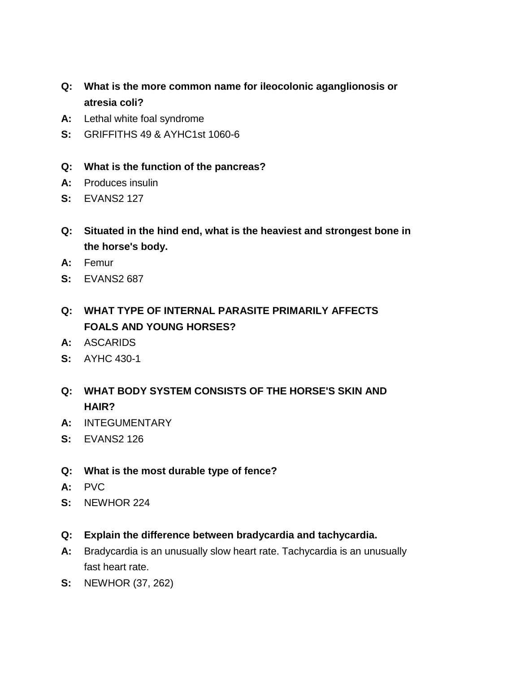- **Q: What is the more common name for ileocolonic aganglionosis or atresia coli?**
- **A:** Lethal white foal syndrome
- **S:** GRIFFITHS 49 & AYHC1st 1060-6
- **Q: What is the function of the pancreas?**
- **A:** Produces insulin
- **S:** EVANS2 127
- **Q: Situated in the hind end, what is the heaviest and strongest bone in the horse's body.**
- **A:** Femur
- **S:** EVANS2 687
- **Q: WHAT TYPE OF INTERNAL PARASITE PRIMARILY AFFECTS FOALS AND YOUNG HORSES?**
- **A:** ASCARIDS
- **S:** AYHC 430-1
- **Q: WHAT BODY SYSTEM CONSISTS OF THE HORSE'S SKIN AND HAIR?**
- **A:** INTEGUMENTARY
- **S:** EVANS2 126
- **Q: What is the most durable type of fence?**
- **A:** PVC
- **S:** NEWHOR 224
- **Q: Explain the difference between bradycardia and tachycardia.**
- **A:** Bradycardia is an unusually slow heart rate. Tachycardia is an unusually fast heart rate.
- **S:** NEWHOR (37, 262)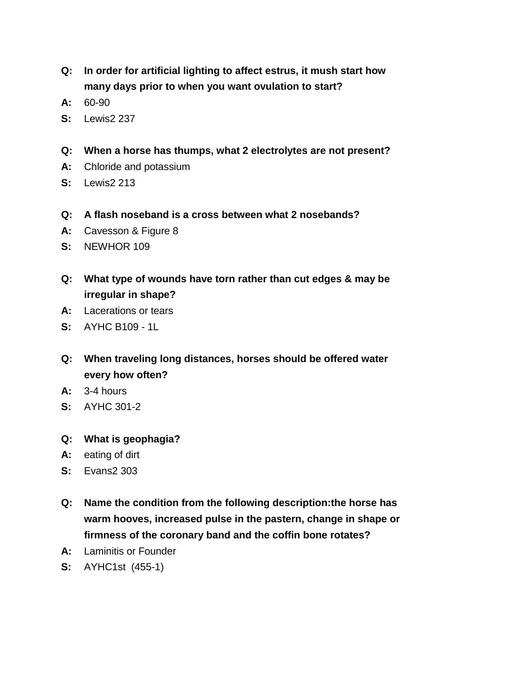- **Q: In order for artificial lighting to affect estrus, it mush start how many days prior to when you want ovulation to start?**
- **A:** 60-90
- **S:** Lewis2 237
- **Q: When a horse has thumps, what 2 electrolytes are not present?**
- **A:** Chloride and potassium
- **S:** Lewis2 213
- **Q: A flash noseband is a cross between what 2 nosebands?**
- **A:** Cavesson & Figure 8
- **S:** NEWHOR 109
- **Q: What type of wounds have torn rather than cut edges & may be irregular in shape?**
- **A:** Lacerations or tears
- **S:** AYHC B109 1L
- **Q: When traveling long distances, horses should be offered water every how often?**
- **A:** 3-4 hours
- **S:** AYHC 301-2
- **Q: What is geophagia?**
- **A:** eating of dirt
- **S:** Evans2 303
- **Q: Name the condition from the following description:the horse has warm hooves, increased pulse in the pastern, change in shape or firmness of the coronary band and the coffin bone rotates?**
- **A:** Laminitis or Founder
- **S:** AYHC1st (455-1)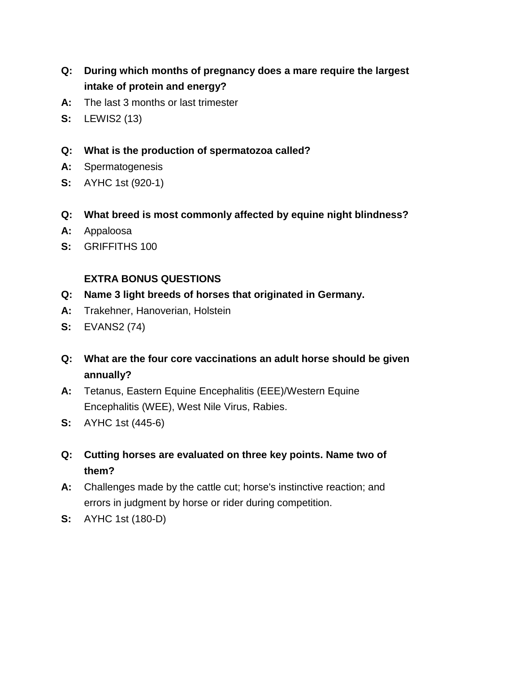- **Q: During which months of pregnancy does a mare require the largest intake of protein and energy?**
- **A:** The last 3 months or last trimester
- **S:** LEWIS2 (13)
- **Q: What is the production of spermatozoa called?**
- **A:** Spermatogenesis
- **S:** AYHC 1st (920-1)
- **Q: What breed is most commonly affected by equine night blindness?**
- **A:** Appaloosa
- **S:** GRIFFITHS 100

## **EXTRA BONUS QUESTIONS**

- **Q: Name 3 light breeds of horses that originated in Germany.**
- **A:** Trakehner, Hanoverian, Holstein
- **S:** EVANS2 (74)
- **Q: What are the four core vaccinations an adult horse should be given annually?**
- **A:** Tetanus, Eastern Equine Encephalitis (EEE)/Western Equine Encephalitis (WEE), West Nile Virus, Rabies.
- **S:** AYHC 1st (445-6)
- **Q: Cutting horses are evaluated on three key points. Name two of them?**
- **A:** Challenges made by the cattle cut; horse's instinctive reaction; and errors in judgment by horse or rider during competition.
- **S:** AYHC 1st (180-D)